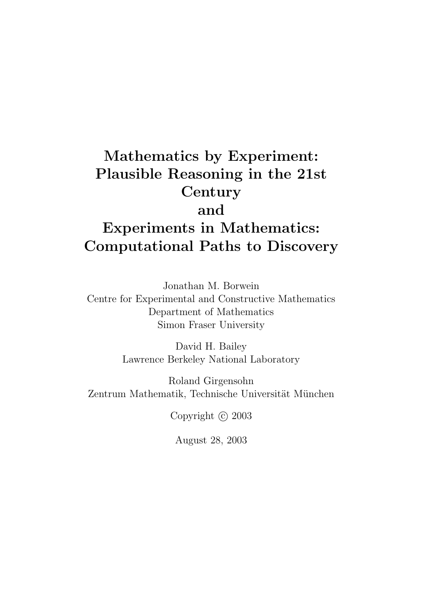## Mathematics by Experiment: Plausible Reasoning in the 21st **Century** and Experiments in Mathematics:

# Computational Paths to Discovery

Jonathan M. Borwein Centre for Experimental and Constructive Mathematics Department of Mathematics Simon Fraser University

> David H. Bailey Lawrence Berkeley National Laboratory

Roland Girgensohn Zentrum Mathematik, Technische Universität München

Copyright  $\odot$  2003

August 28, 2003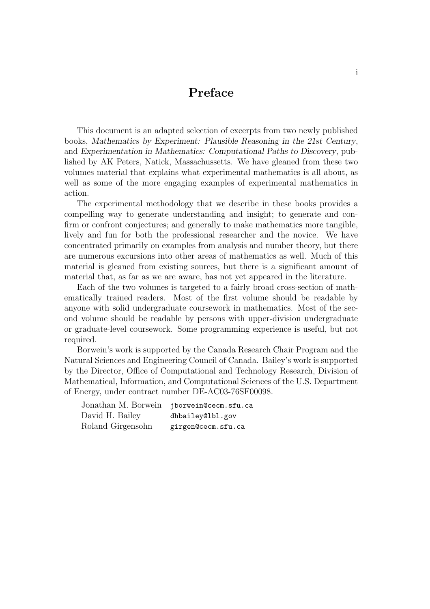## Preface

This document is an adapted selection of excerpts from two newly published books, Mathematics by Experiment: Plausible Reasoning in the 21st Century, and Experimentation in Mathematics: Computational Paths to Discovery, published by AK Peters, Natick, Massachussetts. We have gleaned from these two volumes material that explains what experimental mathematics is all about, as well as some of the more engaging examples of experimental mathematics in action.

The experimental methodology that we describe in these books provides a compelling way to generate understanding and insight; to generate and confirm or confront conjectures; and generally to make mathematics more tangible, lively and fun for both the professional researcher and the novice. We have concentrated primarily on examples from analysis and number theory, but there are numerous excursions into other areas of mathematics as well. Much of this material is gleaned from existing sources, but there is a significant amount of material that, as far as we are aware, has not yet appeared in the literature.

Each of the two volumes is targeted to a fairly broad cross-section of mathematically trained readers. Most of the first volume should be readable by anyone with solid undergraduate coursework in mathematics. Most of the second volume should be readable by persons with upper-division undergraduate or graduate-level coursework. Some programming experience is useful, but not required.

Borwein's work is supported by the Canada Research Chair Program and the Natural Sciences and Engineering Council of Canada. Bailey's work is supported by the Director, Office of Computational and Technology Research, Division of Mathematical, Information, and Computational Sciences of the U.S. Department of Energy, under contract number DE-AC03-76SF00098.

|                   | Jonathan M. Borwein jborwein@cecm.sfu.ca |
|-------------------|------------------------------------------|
| David H. Bailey   | dhbailey@lbl.gov                         |
| Roland Girgensohn | girgen@cecm.sfu.ca                       |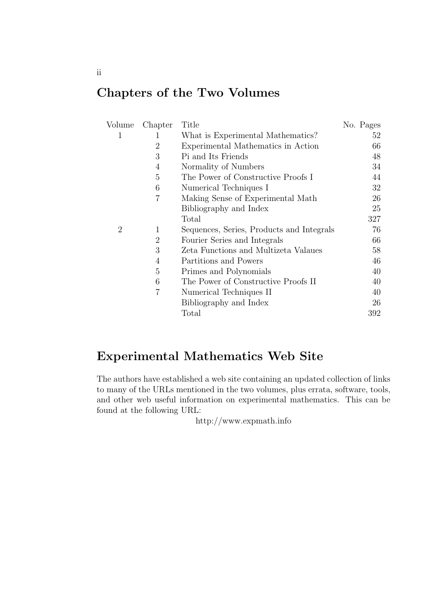## Chapters of the Two Volumes

| Volume         | Chapter        | Title                                     | No. Pages |
|----------------|----------------|-------------------------------------------|-----------|
| 1              | 1              | What is Experimental Mathematics?         | 52        |
|                | $\overline{2}$ | Experimental Mathematics in Action        | 66        |
|                | 3              | Pi and Its Friends                        | 48        |
|                | 4              | Normality of Numbers                      | 34        |
|                | 5              | The Power of Constructive Proofs I        | 44        |
|                | 6              | Numerical Techniques I                    | 32        |
|                | 7              | Making Sense of Experimental Math         | 26        |
|                |                | Bibliography and Index                    | 25        |
|                |                | Total                                     | 327       |
| $\overline{2}$ | 1              | Sequences, Series, Products and Integrals | 76        |
|                | 2              | Fourier Series and Integrals              | 66        |
|                | 3              | Zeta Functions and Multizeta Valaues      | 58        |
|                | 4              | Partitions and Powers                     | 46        |
|                | 5              | Primes and Polynomials                    | 40        |
|                | 6              | The Power of Constructive Proofs II       | 40        |
|                | $\overline{7}$ | Numerical Techniques II                   | 40        |
|                |                | Bibliography and Index                    | 26        |
|                |                | Total                                     | 392       |
|                |                |                                           |           |

## Experimental Mathematics Web Site

The authors have established a web site containing an updated collection of links to many of the URLs mentioned in the two volumes, plus errata, software, tools, and other web useful information on experimental mathematics. This can be found at the following URL:

http://www.expmath.info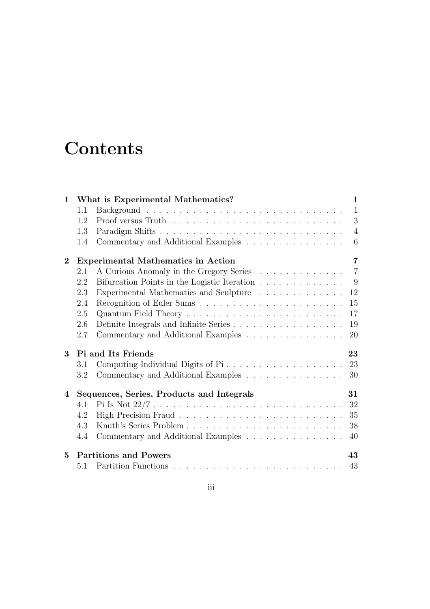## **Contents**

| $\mathbf{1}$ |     | What is Experimental Mathematics?                           | $\mathbf{1}$              |  |  |  |  |  |  |  |
|--------------|-----|-------------------------------------------------------------|---------------------------|--|--|--|--|--|--|--|
|              | 1.1 |                                                             | $\mathbf{1}$              |  |  |  |  |  |  |  |
|              | 1.2 |                                                             | $\overline{\phantom{a}3}$ |  |  |  |  |  |  |  |
|              | 1.3 |                                                             | $\overline{4}$            |  |  |  |  |  |  |  |
|              | 1.4 | Commentary and Additional Examples                          | 6                         |  |  |  |  |  |  |  |
| $\bf{2}$     |     | $\overline{7}$<br><b>Experimental Mathematics in Action</b> |                           |  |  |  |  |  |  |  |
|              | 2.1 | A Curious Anomaly in the Gregory Series                     | $\overline{7}$            |  |  |  |  |  |  |  |
|              | 2.2 | Bifurcation Points in the Logistic Iteration                | - 9                       |  |  |  |  |  |  |  |
|              | 2.3 | Experimental Mathematics and Sculpture                      | 12                        |  |  |  |  |  |  |  |
|              | 2.4 |                                                             | 15                        |  |  |  |  |  |  |  |
|              | 2.5 |                                                             | 17                        |  |  |  |  |  |  |  |
|              | 2.6 |                                                             | 19                        |  |  |  |  |  |  |  |
|              | 2.7 | Commentary and Additional Examples                          | 20                        |  |  |  |  |  |  |  |
| 3            |     | <b>Pi</b> and Its Friends<br>23                             |                           |  |  |  |  |  |  |  |
|              | 3.1 | Computing Individual Digits of Pi                           | 23                        |  |  |  |  |  |  |  |
|              | 3.2 | Commentary and Additional Examples                          | 30                        |  |  |  |  |  |  |  |
| 4            |     | Sequences, Series, Products and Integrals                   | 31                        |  |  |  |  |  |  |  |
|              | 4.1 |                                                             | 32                        |  |  |  |  |  |  |  |
|              | 4.2 |                                                             | 35                        |  |  |  |  |  |  |  |
|              | 4.3 |                                                             | 38                        |  |  |  |  |  |  |  |
|              | 4.4 | Commentary and Additional Examples                          | 40                        |  |  |  |  |  |  |  |
| 5.           |     | <b>Partitions and Powers</b>                                | 43                        |  |  |  |  |  |  |  |
|              | 5.1 |                                                             | 43                        |  |  |  |  |  |  |  |

iii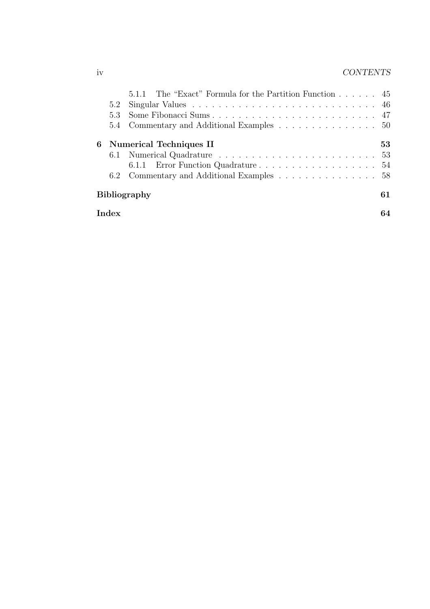### iv CONTENTS

|       | 5.1.1 The "Exact" Formula for the Partition Function 45 |    |
|-------|---------------------------------------------------------|----|
| 5.2   |                                                         |    |
| 5.3   |                                                         |    |
|       | 5.4 Commentary and Additional Examples 50               |    |
|       | 6 Numerical Techniques II                               | 53 |
|       |                                                         |    |
|       |                                                         |    |
|       | 6.2 Commentary and Additional Examples 58               |    |
|       | Bibliography                                            | 61 |
| Index |                                                         | 64 |
|       |                                                         |    |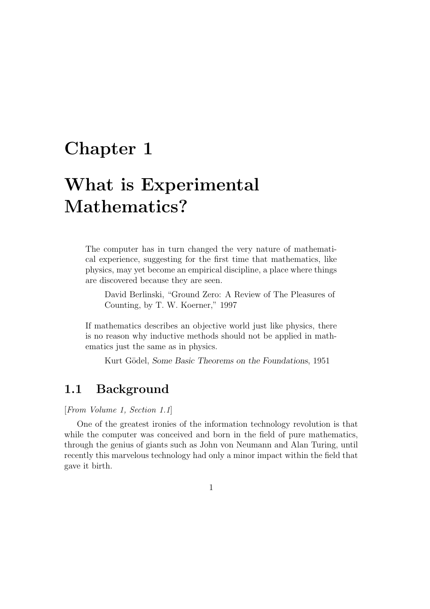## Chapter 1

## What is Experimental Mathematics?

The computer has in turn changed the very nature of mathematical experience, suggesting for the first time that mathematics, like physics, may yet become an empirical discipline, a place where things are discovered because they are seen.

David Berlinski, "Ground Zero: A Review of The Pleasures of Counting, by T. W. Koerner," 1997

If mathematics describes an objective world just like physics, there is no reason why inductive methods should not be applied in mathematics just the same as in physics.

Kurt Gödel, Some Basic Theorems on the Foundations, 1951

### 1.1 Background

[From Volume 1, Section 1.1]

One of the greatest ironies of the information technology revolution is that while the computer was conceived and born in the field of pure mathematics, through the genius of giants such as John von Neumann and Alan Turing, until recently this marvelous technology had only a minor impact within the field that gave it birth.

#### 1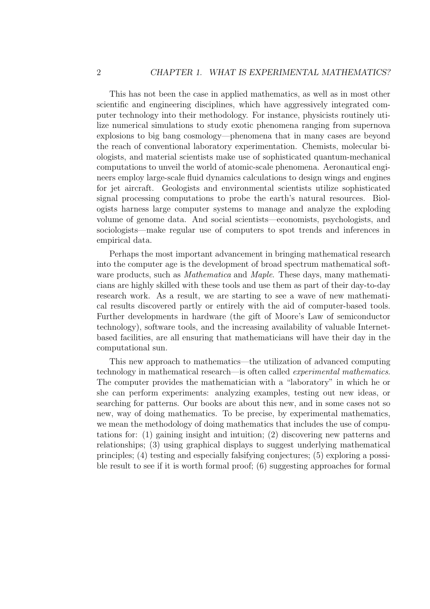This has not been the case in applied mathematics, as well as in most other scientific and engineering disciplines, which have aggressively integrated computer technology into their methodology. For instance, physicists routinely utilize numerical simulations to study exotic phenomena ranging from supernova explosions to big bang cosmology—phenomena that in many cases are beyond the reach of conventional laboratory experimentation. Chemists, molecular biologists, and material scientists make use of sophisticated quantum-mechanical computations to unveil the world of atomic-scale phenomena. Aeronautical engineers employ large-scale fluid dynamics calculations to design wings and engines for jet aircraft. Geologists and environmental scientists utilize sophisticated signal processing computations to probe the earth's natural resources. Biologists harness large computer systems to manage and analyze the exploding volume of genome data. And social scientists—economists, psychologists, and sociologists—make regular use of computers to spot trends and inferences in empirical data.

Perhaps the most important advancement in bringing mathematical research into the computer age is the development of broad spectrum mathematical software products, such as *Mathematica* and *Maple*. These days, many mathematicians are highly skilled with these tools and use them as part of their day-to-day research work. As a result, we are starting to see a wave of new mathematical results discovered partly or entirely with the aid of computer-based tools. Further developments in hardware (the gift of Moore's Law of semiconductor technology), software tools, and the increasing availability of valuable Internetbased facilities, are all ensuring that mathematicians will have their day in the computational sun.

This new approach to mathematics—the utilization of advanced computing technology in mathematical research—is often called experimental mathematics. The computer provides the mathematician with a "laboratory" in which he or she can perform experiments: analyzing examples, testing out new ideas, or searching for patterns. Our books are about this new, and in some cases not so new, way of doing mathematics. To be precise, by experimental mathematics, we mean the methodology of doing mathematics that includes the use of computations for: (1) gaining insight and intuition; (2) discovering new patterns and relationships; (3) using graphical displays to suggest underlying mathematical principles; (4) testing and especially falsifying conjectures; (5) exploring a possible result to see if it is worth formal proof; (6) suggesting approaches for formal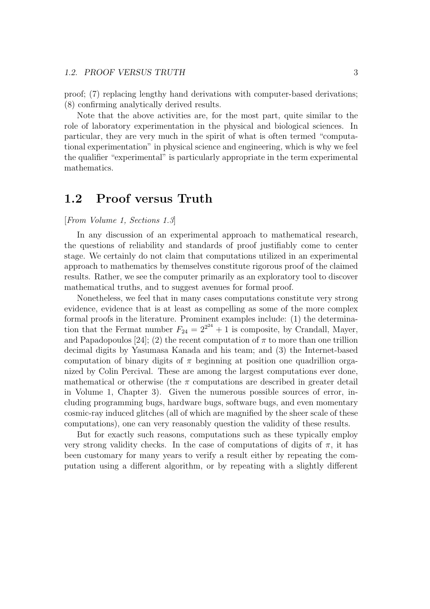proof; (7) replacing lengthy hand derivations with computer-based derivations; (8) confirming analytically derived results.

Note that the above activities are, for the most part, quite similar to the role of laboratory experimentation in the physical and biological sciences. In particular, they are very much in the spirit of what is often termed "computational experimentation" in physical science and engineering, which is why we feel the qualifier "experimental" is particularly appropriate in the term experimental mathematics.

### 1.2 Proof versus Truth

#### [From Volume 1, Sections 1.3]

In any discussion of an experimental approach to mathematical research, the questions of reliability and standards of proof justifiably come to center stage. We certainly do not claim that computations utilized in an experimental approach to mathematics by themselves constitute rigorous proof of the claimed results. Rather, we see the computer primarily as an exploratory tool to discover mathematical truths, and to suggest avenues for formal proof.

Nonetheless, we feel that in many cases computations constitute very strong evidence, evidence that is at least as compelling as some of the more complex formal proofs in the literature. Prominent examples include: (1) the determination that the Fermat number  $F_{24} = 2^{2^{24}} + 1$  is composite, by Crandall, Mayer, and Papadopoulos [24]; (2) the recent computation of  $\pi$  to more than one trillion decimal digits by Yasumasa Kanada and his team; and (3) the Internet-based computation of binary digits of  $\pi$  beginning at position one quadrillion organized by Colin Percival. These are among the largest computations ever done, mathematical or otherwise (the  $\pi$  computations are described in greater detail in Volume 1, Chapter 3). Given the numerous possible sources of error, including programming bugs, hardware bugs, software bugs, and even momentary cosmic-ray induced glitches (all of which are magnified by the sheer scale of these computations), one can very reasonably question the validity of these results.

But for exactly such reasons, computations such as these typically employ very strong validity checks. In the case of computations of digits of  $\pi$ , it has been customary for many years to verify a result either by repeating the computation using a different algorithm, or by repeating with a slightly different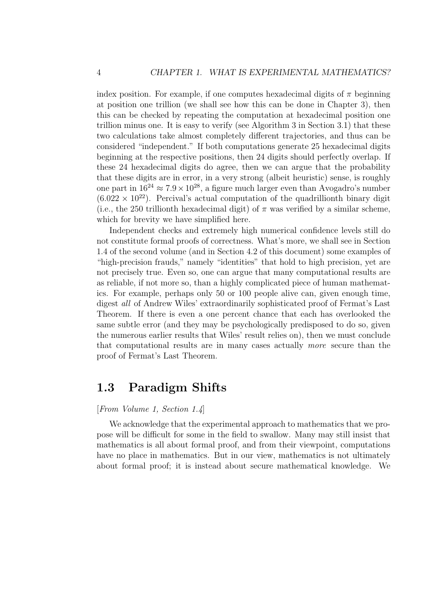index position. For example, if one computes hexadecimal digits of  $\pi$  beginning at position one trillion (we shall see how this can be done in Chapter 3), then this can be checked by repeating the computation at hexadecimal position one trillion minus one. It is easy to verify (see Algorithm 3 in Section 3.1) that these two calculations take almost completely different trajectories, and thus can be considered "independent." If both computations generate 25 hexadecimal digits beginning at the respective positions, then 24 digits should perfectly overlap. If these 24 hexadecimal digits do agree, then we can argue that the probability that these digits are in error, in a very strong (albeit heuristic) sense, is roughly one part in  $16^{24} \approx 7.9 \times 10^{28}$ , a figure much larger even than Avogadro's number  $(6.022 \times 10^{22})$ . Percival's actual computation of the quadrillionth binary digit (i.e., the 250 trillionth hexadecimal digit) of  $\pi$  was verified by a similar scheme, which for brevity we have simplified here.

Independent checks and extremely high numerical confidence levels still do not constitute formal proofs of correctness. What's more, we shall see in Section 1.4 of the second volume (and in Section 4.2 of this document) some examples of "high-precision frauds," namely "identities" that hold to high precision, yet are not precisely true. Even so, one can argue that many computational results are as reliable, if not more so, than a highly complicated piece of human mathematics. For example, perhaps only 50 or 100 people alive can, given enough time, digest all of Andrew Wiles' extraordinarily sophisticated proof of Fermat's Last Theorem. If there is even a one percent chance that each has overlooked the same subtle error (and they may be psychologically predisposed to do so, given the numerous earlier results that Wiles' result relies on), then we must conclude that computational results are in many cases actually more secure than the proof of Fermat's Last Theorem.

### 1.3 Paradigm Shifts

#### [From Volume 1, Section 1.4]

We acknowledge that the experimental approach to mathematics that we propose will be difficult for some in the field to swallow. Many may still insist that mathematics is all about formal proof, and from their viewpoint, computations have no place in mathematics. But in our view, mathematics is not ultimately about formal proof; it is instead about secure mathematical knowledge. We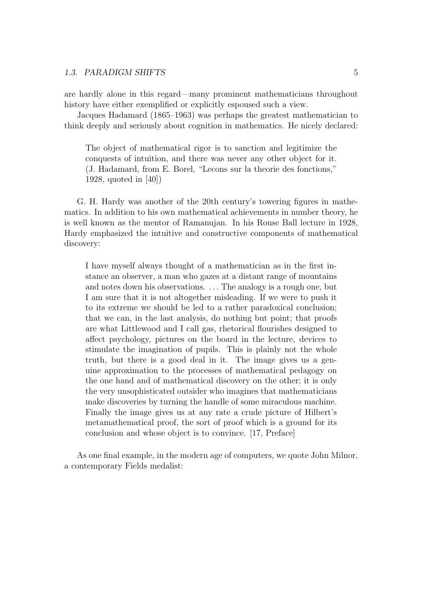are hardly alone in this regard—many prominent mathematicians throughout history have either exemplified or explicitly espoused such a view.

Jacques Hadamard (1865–1963) was perhaps the greatest mathematician to think deeply and seriously about cognition in mathematics. He nicely declared:

The object of mathematical rigor is to sanction and legitimize the conquests of intuition, and there was never any other object for it. (J. Hadamard, from E. Borel, "Lecons sur la theorie des fonctions," 1928, quoted in [40])

G. H. Hardy was another of the 20th century's towering figures in mathematics. In addition to his own mathematical achievements in number theory, he is well known as the mentor of Ramanujan. In his Rouse Ball lecture in 1928, Hardy emphasized the intuitive and constructive components of mathematical discovery:

I have myself always thought of a mathematician as in the first instance an observer, a man who gazes at a distant range of mountains and notes down his observations. . . . The analogy is a rough one, but I am sure that it is not altogether misleading. If we were to push it to its extreme we should be led to a rather paradoxical conclusion; that we can, in the last analysis, do nothing but point; that proofs are what Littlewood and I call gas, rhetorical flourishes designed to affect psychology, pictures on the board in the lecture, devices to stimulate the imagination of pupils. This is plainly not the whole truth, but there is a good deal in it. The image gives us a genuine approximation to the processes of mathematical pedagogy on the one hand and of mathematical discovery on the other; it is only the very unsophisticated outsider who imagines that mathematicians make discoveries by turning the handle of some miraculous machine. Finally the image gives us at any rate a crude picture of Hilbert's metamathematical proof, the sort of proof which is a ground for its conclusion and whose object is to convince. [17, Preface]

As one final example, in the modern age of computers, we quote John Milnor, a contemporary Fields medalist: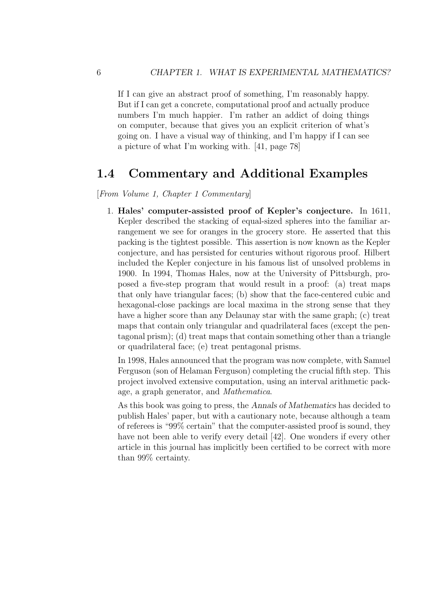If I can give an abstract proof of something, I'm reasonably happy. But if I can get a concrete, computational proof and actually produce numbers I'm much happier. I'm rather an addict of doing things on computer, because that gives you an explicit criterion of what's going on. I have a visual way of thinking, and I'm happy if I can see a picture of what I'm working with. [41, page 78]

### 1.4 Commentary and Additional Examples

[From Volume 1, Chapter 1 Commentary]

1. Hales' computer-assisted proof of Kepler's conjecture. In 1611, Kepler described the stacking of equal-sized spheres into the familiar arrangement we see for oranges in the grocery store. He asserted that this packing is the tightest possible. This assertion is now known as the Kepler conjecture, and has persisted for centuries without rigorous proof. Hilbert included the Kepler conjecture in his famous list of unsolved problems in 1900. In 1994, Thomas Hales, now at the University of Pittsburgh, proposed a five-step program that would result in a proof: (a) treat maps that only have triangular faces; (b) show that the face-centered cubic and hexagonal-close packings are local maxima in the strong sense that they have a higher score than any Delaunay star with the same graph; (c) treat maps that contain only triangular and quadrilateral faces (except the pentagonal prism); (d) treat maps that contain something other than a triangle or quadrilateral face; (e) treat pentagonal prisms.

In 1998, Hales announced that the program was now complete, with Samuel Ferguson (son of Helaman Ferguson) completing the crucial fifth step. This project involved extensive computation, using an interval arithmetic package, a graph generator, and Mathematica.

As this book was going to press, the Annals of Mathematics has decided to publish Hales' paper, but with a cautionary note, because although a team of referees is "99% certain" that the computer-assisted proof is sound, they have not been able to verify every detail [42]. One wonders if every other article in this journal has implicitly been certified to be correct with more than 99% certainty.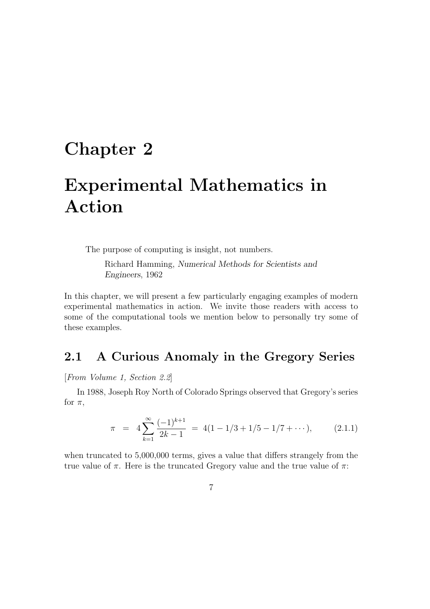## Chapter 2

## Experimental Mathematics in Action

The purpose of computing is insight, not numbers.

Richard Hamming, Numerical Methods for Scientists and Engineers, 1962

In this chapter, we will present a few particularly engaging examples of modern experimental mathematics in action. We invite those readers with access to some of the computational tools we mention below to personally try some of these examples.

### 2.1 A Curious Anomaly in the Gregory Series

[From Volume 1, Section 2.2]

In 1988, Joseph Roy North of Colorado Springs observed that Gregory's series for  $\pi$ ,

$$
\pi = 4 \sum_{k=1}^{\infty} \frac{(-1)^{k+1}}{2k-1} = 4(1 - 1/3 + 1/5 - 1/7 + \cdots), \quad (2.1.1)
$$

when truncated to  $5,000,000$  terms, gives a value that differs strangely from the true value of  $\pi$ . Here is the truncated Gregory value and the true value of  $\pi$ :

#### 7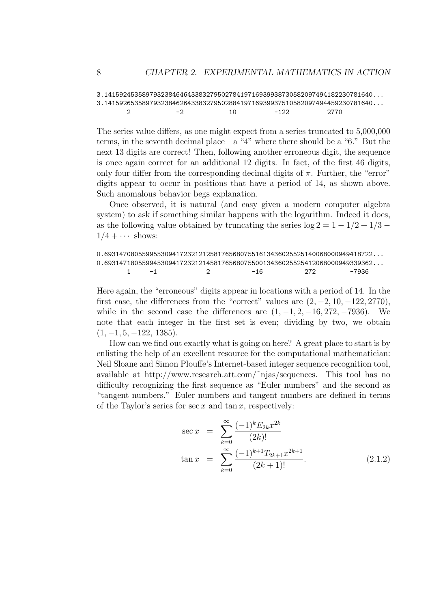3.14159245358979323846464338327950278419716939938730582097494182230781640... 3.14159265358979323846264338327950288419716939937510582097494459230781640... 2 -2 10 -122 2770

The series value differs, as one might expect from a series truncated to 5,000,000 terms, in the seventh decimal place—a "4" where there should be a "6." But the next 13 digits are correct! Then, following another erroneous digit, the sequence is once again correct for an additional 12 digits. In fact, of the first 46 digits, only four differ from the corresponding decimal digits of  $\pi$ . Further, the "error" digits appear to occur in positions that have a period of 14, as shown above. Such anomalous behavior begs explanation.

Once observed, it is natural (and easy given a modern computer algebra system) to ask if something similar happens with the logarithm. Indeed it does, as the following value obtained by truncating the series  $\log 2 = 1 - 1/2 + 1/3$  $1/4 + \cdots$  shows:

|  |        | $0.69314708055995530941723212125817656807551613436025525140068000949418722\dots$ |       |       |       |
|--|--------|----------------------------------------------------------------------------------|-------|-------|-------|
|  |        | $0.69314718055994530941723212145817656807550013436025525412068000949339362\dots$ |       |       |       |
|  | 1 $-1$ | $\sim$ $\sim$ $\sim$ $\sim$                                                      | $-16$ | - 272 | -7936 |

Here again, the "erroneous" digits appear in locations with a period of 14. In the first case, the differences from the "correct" values are  $(2, -2, 10, -122, 2770)$ , while in the second case the differences are  $(1, -1, 2, -16, 272, -7936)$ . We note that each integer in the first set is even; dividing by two, we obtain  $(1, -1, 5, -122, 1385).$ 

How can we find out exactly what is going on here? A great place to start is by enlisting the help of an excellent resource for the computational mathematician: Neil Sloane and Simon Plouffe's Internet-based integer sequence recognition tool, available at http://www.research.att.com/˜njas/sequences. This tool has no difficulty recognizing the first sequence as "Euler numbers" and the second as "tangent numbers." Euler numbers and tangent numbers are defined in terms of the Taylor's series for sec x and  $\tan x$ , respectively:

$$
\sec x = \sum_{k=0}^{\infty} \frac{(-1)^k E_{2k} x^{2k}}{(2k)!}
$$

$$
\tan x = \sum_{k=0}^{\infty} \frac{(-1)^{k+1} T_{2k+1} x^{2k+1}}{(2k+1)!}.
$$
(2.1.2)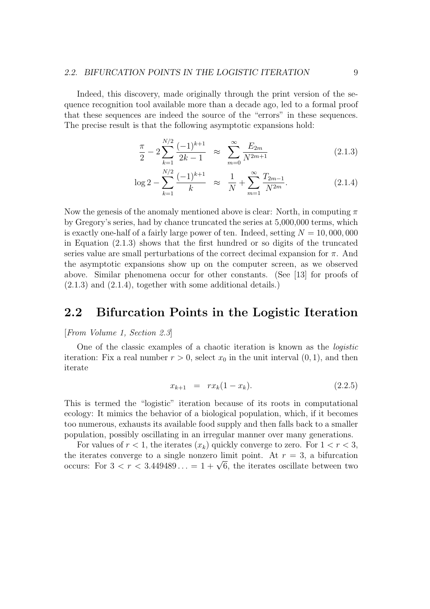#### 2.2. BIFURCATION POINTS IN THE LOGISTIC ITERATION 9

Indeed, this discovery, made originally through the print version of the sequence recognition tool available more than a decade ago, led to a formal proof that these sequences are indeed the source of the "errors" in these sequences. The precise result is that the following asymptotic expansions hold:

$$
\frac{\pi}{2} - 2\sum_{k=1}^{N/2} \frac{(-1)^{k+1}}{2k-1} \approx \sum_{m=0}^{\infty} \frac{E_{2m}}{N^{2m+1}}
$$
(2.1.3)

$$
\log 2 - \sum_{k=1}^{N/2} \frac{(-1)^{k+1}}{k} \approx \frac{1}{N} + \sum_{m=1}^{\infty} \frac{T_{2m-1}}{N^{2m}}.
$$
 (2.1.4)

Now the genesis of the anomaly mentioned above is clear: North, in computing  $\pi$ by Gregory's series, had by chance truncated the series at 5,000,000 terms, which is exactly one-half of a fairly large power of ten. Indeed, setting  $N = 10,000,000$ in Equation (2.1.3) shows that the first hundred or so digits of the truncated series value are small perturbations of the correct decimal expansion for  $\pi$ . And the asymptotic expansions show up on the computer screen, as we observed above. Similar phenomena occur for other constants. (See [13] for proofs of (2.1.3) and (2.1.4), together with some additional details.)

### 2.2 Bifurcation Points in the Logistic Iteration

#### [From Volume 1, Section 2.3]

One of the classic examples of a chaotic iteration is known as the logistic iteration: Fix a real number  $r > 0$ , select  $x_0$  in the unit interval  $(0, 1)$ , and then iterate

$$
x_{k+1} = rx_k(1 - x_k). \tag{2.2.5}
$$

This is termed the "logistic" iteration because of its roots in computational ecology: It mimics the behavior of a biological population, which, if it becomes too numerous, exhausts its available food supply and then falls back to a smaller population, possibly oscillating in an irregular manner over many generations.

For values of  $r < 1$ , the iterates  $(x_k)$  quickly converge to zero. For  $1 < r < 3$ , the iterates converge to a single nonzero limit point. At  $r = 3$ , a bifurcation the iterates converge to a single nonzero limit point. At  $r = 3$ , a bifurcation occurs: For  $3 < r < 3.449489... = 1 + \sqrt{6}$ , the iterates oscillate between two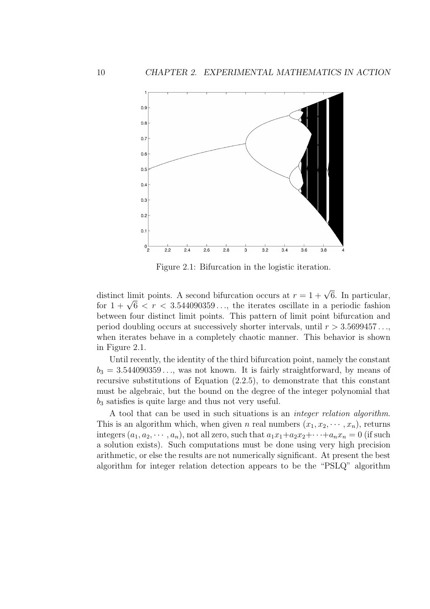

Figure 2.1: Bifurcation in the logistic iteration.

distinct limit points. A second bifurcation occurs at  $r = 1 + \sqrt{6}$ . In particular, distinct limit points. A second bitureation occurs at  $r = 1 + \sqrt{6}$ . In particular, for  $1 + \sqrt{6} < r < 3.544090359...$ , the iterates oscillate in a periodic fashion between four distinct limit points. This pattern of limit point bifurcation and period doubling occurs at successively shorter intervals, until  $r > 3.5699457...$ when iterates behave in a completely chaotic manner. This behavior is shown in Figure 2.1.

Until recently, the identity of the third bifurcation point, namely the constant  $b_3 = 3.544090359...$ , was not known. It is fairly straightforward, by means of recursive substitutions of Equation (2.2.5), to demonstrate that this constant must be algebraic, but the bound on the degree of the integer polynomial that  $b_3$  satisfies is quite large and thus not very useful.

A tool that can be used in such situations is an integer relation algorithm. This is an algorithm which, when given n real numbers  $(x_1, x_2, \dots, x_n)$ , returns integers  $(a_1, a_2, \dots, a_n)$ , not all zero, such that  $a_1x_1+a_2x_2+\dots+a_nx_n=0$  (if such a solution exists). Such computations must be done using very high precision arithmetic, or else the results are not numerically significant. At present the best algorithm for integer relation detection appears to be the "PSLQ" algorithm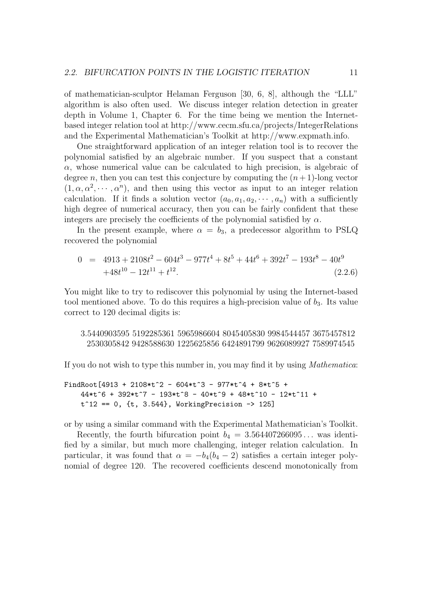of mathematician-sculptor Helaman Ferguson [30, 6, 8], although the "LLL" algorithm is also often used. We discuss integer relation detection in greater depth in Volume 1, Chapter 6. For the time being we mention the Internetbased integer relation tool at http://www.cecm.sfu.ca/projects/IntegerRelations and the Experimental Mathematician's Toolkit at http://www.expmath.info.

One straightforward application of an integer relation tool is to recover the polynomial satisfied by an algebraic number. If you suspect that a constant  $\alpha$ , whose numerical value can be calculated to high precision, is algebraic of degree n, then you can test this conjecture by computing the  $(n+1)$ -long vector  $(1, \alpha, \alpha^2, \dots, \alpha^n)$ , and then using this vector as input to an integer relation calculation. If it finds a solution vector  $(a_0, a_1, a_2, \dots, a_n)$  with a sufficiently high degree of numerical accuracy, then you can be fairly confident that these integers are precisely the coefficients of the polynomial satisfied by  $\alpha$ .

In the present example, where  $\alpha = b_3$ , a predecessor algorithm to PSLQ recovered the polynomial

$$
0 = 4913 + 2108t2 - 604t3 - 977t4 + 8t5 + 44t6 + 392t7 - 193t8 - 40t9
$$
  
+48t<sup>10</sup> - 12t<sup>11</sup> + t<sup>12</sup>. (2.2.6)

You might like to try to rediscover this polynomial by using the Internet-based tool mentioned above. To do this requires a high-precision value of  $b_3$ . Its value correct to 120 decimal digits is:

3.5440903595 5192285361 5965986604 8045405830 9984544457 3675457812 2530305842 9428588630 1225625856 6424891799 9626089927 7589974545

If you do not wish to type this number in, you may find it by using Mathematica:

#### FindRoot[4913 + 2108\*t^2 - 604\*t^3 - 977\*t^4 + 8\*t^5 +  $44*t^6 + 392*t^7 - 193*t^8 - 40*t^9 + 48*t^10 - 12*t^11 +$  $t^12 == 0$ ,  $\{t, 3.544\}$ , WorkingPrecision  $\rightarrow$  125]

or by using a similar command with the Experimental Mathematician's Toolkit.

Recently, the fourth bifurcation point  $b_4 = 3.564407266095...$  was identified by a similar, but much more challenging, integer relation calculation. In particular, it was found that  $\alpha = -b_4(b_4 - 2)$  satisfies a certain integer polynomial of degree 120. The recovered coefficients descend monotonically from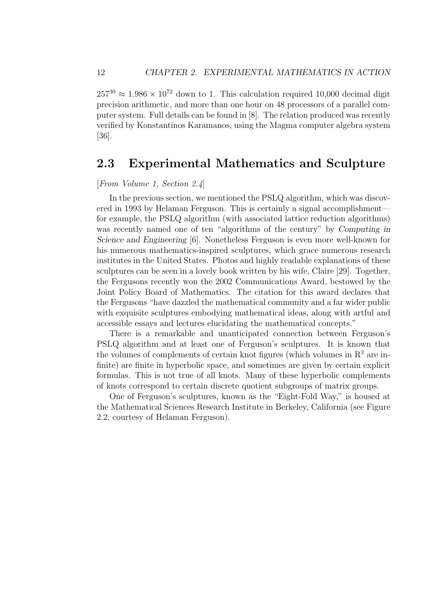$257^{30} \approx 1.986 \times 10^{72}$  down to 1. This calculation required 10,000 decimal digit precision arithmetic, and more than one hour on 48 processors of a parallel computer system. Full details can be found in [8]. The relation produced was recently verified by Konstantinos Karamanos, using the Magma computer algebra system [36].

### 2.3 Experimental Mathematics and Sculpture

#### [From Volume 1, Section 2.4]

In the previous section, we mentioned the PSLQ algorithm, which was discovered in 1993 by Helaman Ferguson. This is certainly a signal accomplishment for example, the PSLQ algorithm (with associated lattice reduction algorithms) was recently named one of ten "algorithms of the century" by Computing in Science and Engineering [6]. Nonetheless Ferguson is even more well-known for his numerous mathematics-inspired sculptures, which grace numerous research institutes in the United States. Photos and highly readable explanations of these sculptures can be seen in a lovely book written by his wife, Claire [29]. Together, the Fergusons recently won the 2002 Communications Award, bestowed by the Joint Policy Board of Mathematics. The citation for this award declares that the Fergusons "have dazzled the mathematical community and a far wider public with exquisite sculptures embodying mathematical ideas, along with artful and accessible essays and lectures elucidating the mathematical concepts."

There is a remarkable and unanticipated connection between Ferguson's PSLQ algorithm and at least one of Ferguson's sculptures. It is known that the volumes of complements of certain knot figures (which volumes in  $\mathbb{R}^3$  are infinite) are finite in hyperbolic space, and sometimes are given by certain explicit formulas. This is not true of all knots. Many of these hyperbolic complements of knots correspond to certain discrete quotient subgroups of matrix groups.

One of Ferguson's sculptures, known as the "Eight-Fold Way," is housed at the Mathematical Sciences Research Institute in Berkeley, California (see Figure 2.2, courtesy of Helaman Ferguson).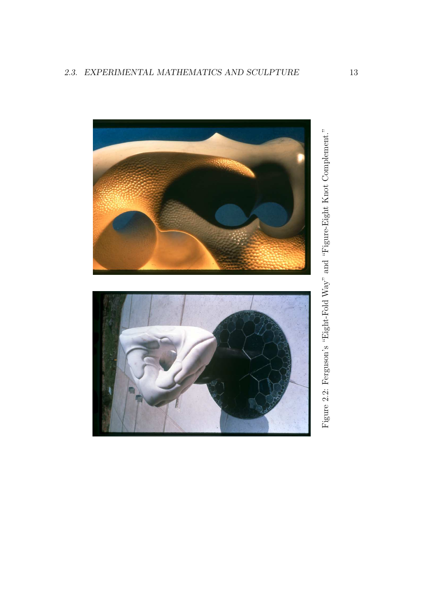

Figure 2.2: Ferguson's "Eight-Fold Way" and "Figure-Eight Knot Complement." Figure 2.2: Ferguson's "Eight-Fold Way" and "Figure-Eight Knot Complement."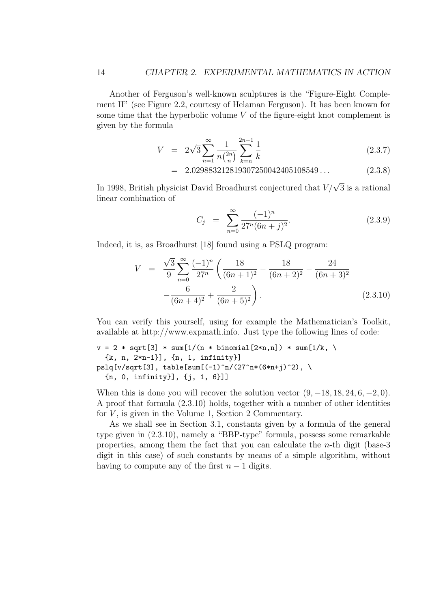Another of Ferguson's well-known sculptures is the "Figure-Eight Complement II" (see Figure 2.2, courtesy of Helaman Ferguson). It has been known for some time that the hyperbolic volume  $V$  of the figure-eight knot complement is given by the formula

$$
V = 2\sqrt{3} \sum_{n=1}^{\infty} \frac{1}{n \binom{2n}{n}} \sum_{k=n}^{2n-1} \frac{1}{k}
$$
 (2.3.7)

$$
= 2.029883212819307250042405108549... \qquad (2.3.8)
$$

In 1998, British physicist David Broadhurst conjectured that  $V/\sqrt{3}$  is a rational linear combination of

$$
C_j = \sum_{n=0}^{\infty} \frac{(-1)^n}{27^n (6n+j)^2}.
$$
 (2.3.9)

Indeed, it is, as Broadhurst [18] found using a PSLQ program:

$$
V = \frac{\sqrt{3}}{9} \sum_{n=0}^{\infty} \frac{(-1)^n}{27^n} \left( \frac{18}{(6n+1)^2} - \frac{18}{(6n+2)^2} - \frac{24}{(6n+3)^2} - \frac{6}{(6n+4)^2} + \frac{2}{(6n+5)^2} \right).
$$
 (2.3.10)

You can verify this yourself, using for example the Mathematician's Toolkit, available at http://www.expmath.info. Just type the following lines of code:

```
v = 2 * sqrt[3] * sum[1/(n * binomial[2*n, n]) * sum[1/k, \ \rangle]{k, n, 2*n-1}], {n, 1, infinity}]
pslq[v/sqrt[3], table[sum[(-1)^n/(27^n*(6*n+j)^2), \
  {n, 0, infinity}], {j, 1, 6}]]
```
When this is done you will recover the solution vector  $(9, -18, 18, 24, 6, -2, 0)$ . A proof that formula (2.3.10) holds, together with a number of other identities for  $V$ , is given in the Volume 1, Section 2 Commentary.

As we shall see in Section 3.1, constants given by a formula of the general type given in (2.3.10), namely a "BBP-type" formula, possess some remarkable properties, among them the fact that you can calculate the  $n$ -th digit (base-3) digit in this case) of such constants by means of a simple algorithm, without having to compute any of the first  $n - 1$  digits.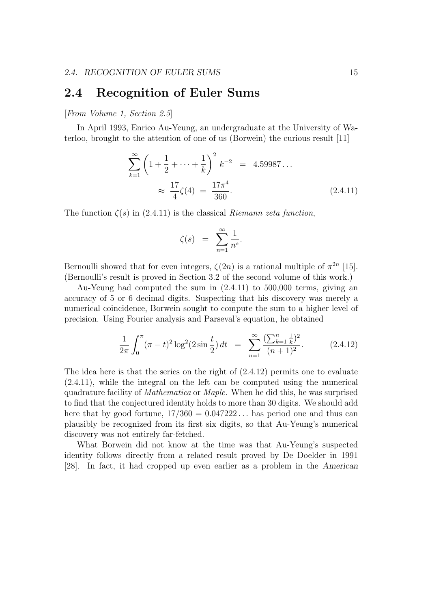### 2.4 Recognition of Euler Sums

[From Volume 1, Section 2.5]

In April 1993, Enrico Au-Yeung, an undergraduate at the University of Waterloo, brought to the attention of one of us (Borwein) the curious result [11]

$$
\sum_{k=1}^{\infty} \left( 1 + \frac{1}{2} + \dots + \frac{1}{k} \right)^2 k^{-2} = 4.59987\dots
$$
  

$$
\approx \frac{17}{4} \zeta(4) = \frac{17\pi^4}{360}.
$$
 (2.4.11)

The function  $\zeta(s)$  in (2.4.11) is the classical Riemann zeta function,

$$
\zeta(s) = \sum_{n=1}^{\infty} \frac{1}{n^s}.
$$

Bernoulli showed that for even integers,  $\zeta(2n)$  is a rational multiple of  $\pi^{2n}$  [15]. (Bernoulli's result is proved in Section 3.2 of the second volume of this work.)

Au-Yeung had computed the sum in (2.4.11) to 500,000 terms, giving an accuracy of 5 or 6 decimal digits. Suspecting that his discovery was merely a numerical coincidence, Borwein sought to compute the sum to a higher level of precision. Using Fourier analysis and Parseval's equation, he obtained

$$
\frac{1}{2\pi} \int_0^{\pi} (\pi - t)^2 \log^2(2\sin\frac{t}{2}) dt = \sum_{n=1}^{\infty} \frac{(\sum_{k=1}^n \frac{1}{k})^2}{(n+1)^2}.
$$
 (2.4.12)

The idea here is that the series on the right of (2.4.12) permits one to evaluate (2.4.11), while the integral on the left can be computed using the numerical quadrature facility of Mathematica or Maple. When he did this, he was surprised to find that the conjectured identity holds to more than 30 digits. We should add here that by good fortune,  $17/360 = 0.047222...$  has period one and thus can plausibly be recognized from its first six digits, so that Au-Yeung's numerical discovery was not entirely far-fetched.

What Borwein did not know at the time was that Au-Yeung's suspected identity follows directly from a related result proved by De Doelder in 1991 [28]. In fact, it had cropped up even earlier as a problem in the American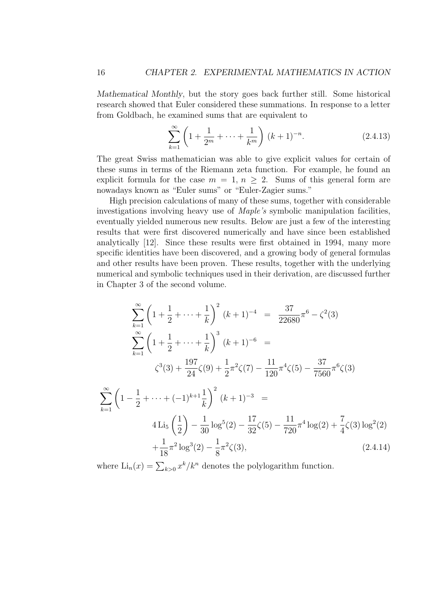Mathematical Monthly, but the story goes back further still. Some historical research showed that Euler considered these summations. In response to a letter from Goldbach, he examined sums that are equivalent to

$$
\sum_{k=1}^{\infty} \left( 1 + \frac{1}{2^m} + \dots + \frac{1}{k^m} \right) (k+1)^{-n}.
$$
 (2.4.13)

The great Swiss mathematician was able to give explicit values for certain of these sums in terms of the Riemann zeta function. For example, he found an explicit formula for the case  $m = 1, n \geq 2$ . Sums of this general form are nowadays known as "Euler sums" or "Euler-Zagier sums."

High precision calculations of many of these sums, together with considerable investigations involving heavy use of Maple's symbolic manipulation facilities, eventually yielded numerous new results. Below are just a few of the interesting results that were first discovered numerically and have since been established analytically [12]. Since these results were first obtained in 1994, many more specific identities have been discovered, and a growing body of general formulas and other results have been proven. These results, together with the underlying numerical and symbolic techniques used in their derivation, are discussed further in Chapter 3 of the second volume.

$$
\sum_{k=1}^{\infty} \left(1 + \frac{1}{2} + \dots + \frac{1}{k}\right)^2 (k+1)^{-4} = \frac{37}{22680} \pi^6 - \zeta^2(3)
$$
  

$$
\sum_{k=1}^{\infty} \left(1 + \frac{1}{2} + \dots + \frac{1}{k}\right)^3 (k+1)^{-6} =
$$
  

$$
\zeta^3(3) + \frac{197}{24} \zeta(9) + \frac{1}{2} \pi^2 \zeta(7) - \frac{11}{120} \pi^4 \zeta(5) - \frac{37}{7560} \pi^6 \zeta(3)
$$
  

$$
\sum_{k=1}^{\infty} \left(1 - \frac{1}{2} + \dots + (-1)^{k+1} \frac{1}{k}\right)^2 (k+1)^{-3} =
$$
  

$$
4 \operatorname{Li}_5\left(\frac{1}{2}\right) - \frac{1}{30} \log^5(2) - \frac{17}{32} \zeta(5) - \frac{11}{720} \pi^4 \log(2) + \frac{7}{4} \zeta(3) \log^2(2)
$$
  

$$
+ \frac{1}{18} \pi^2 \log^3(2) - \frac{1}{8} \pi^2 \zeta(3), \tag{2.4.14}
$$

where  $\text{Li}_n(x) = \sum_{k>0} x^k / k^n$  denotes the polylogarithm function.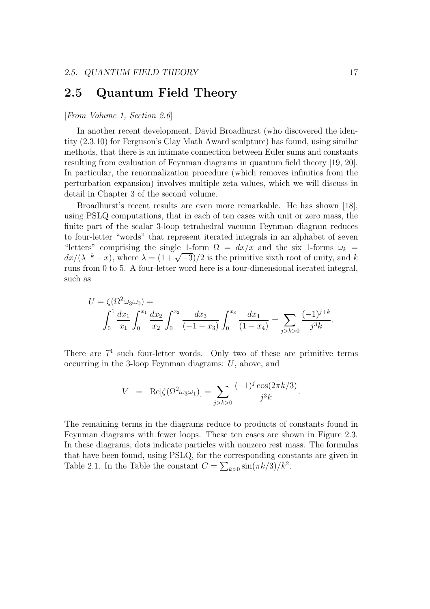## 2.5 Quantum Field Theory

[From Volume 1, Section 2.6]

In another recent development, David Broadhurst (who discovered the identity (2.3.10) for Ferguson's Clay Math Award sculpture) has found, using similar methods, that there is an intimate connection between Euler sums and constants resulting from evaluation of Feynman diagrams in quantum field theory [19, 20]. In particular, the renormalization procedure (which removes infinities from the perturbation expansion) involves multiple zeta values, which we will discuss in detail in Chapter 3 of the second volume.

Broadhurst's recent results are even more remarkable. He has shown [18], using PSLQ computations, that in each of ten cases with unit or zero mass, the finite part of the scalar 3-loop tetrahedral vacuum Feynman diagram reduces to four-letter "words" that represent iterated integrals in an alphabet of seven "letters" comprising the single 1-form  $\Omega = dx/x$  and the six 1-forms  $\omega_k =$ Tetters comprising the single 1-form  $\Omega = ax/x$  and the six 1-forms  $\omega_k = dx/(\lambda^{-k} - x)$ , where  $\lambda = (1 + \sqrt{-3})/2$  is the primitive sixth root of unity, and k runs from 0 to 5. A four-letter word here is a four-dimensional iterated integral, such as

$$
U = \zeta(\Omega^2 \omega_3 \omega_0) =
$$
  

$$
\int_0^1 \frac{dx_1}{x_1} \int_0^{x_1} \frac{dx_2}{x_2} \int_0^{x_2} \frac{dx_3}{(-1 - x_3)} \int_0^{x_3} \frac{dx_4}{(1 - x_4)} = \sum_{j > k > 0} \frac{(-1)^{j+k}}{j^3 k}.
$$

There are  $7<sup>4</sup>$  such four-letter words. Only two of these are primitive terms occurring in the 3-loop Feynman diagrams: U, above, and

$$
V = \text{Re}[\zeta(\Omega^2 \omega_3 \omega_1)] = \sum_{j > k > 0} \frac{(-1)^j \cos(2\pi k/3)}{j^3 k}.
$$

The remaining terms in the diagrams reduce to products of constants found in Feynman diagrams with fewer loops. These ten cases are shown in Figure 2.3. In these diagrams, dots indicate particles with nonzero rest mass. The formulas that have been found, using  $PSLQ$ , for the corresponding constants are given in Table 2.1. In the Table the constant  $C = \sum_{k>0} \sin(\pi k/3)/k^2$ .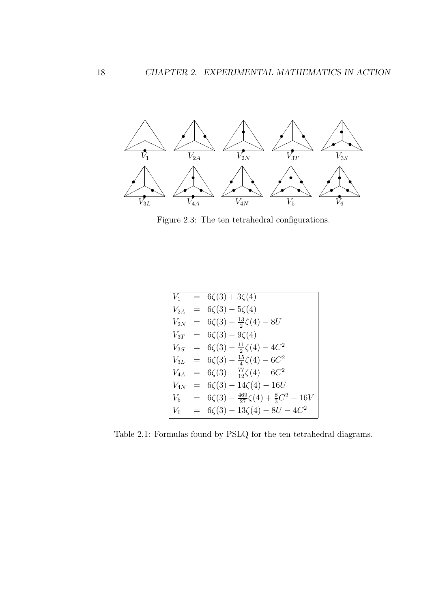

Figure 2.3: The ten tetrahedral configurations.

| $V_1$    |     | $= 6\zeta(3) + 3\zeta(4)$                                     |
|----------|-----|---------------------------------------------------------------|
| $V_{2A}$ |     | $= 6\zeta(3) - 5\zeta(4)$                                     |
| $V_{2N}$ |     | $= 6\zeta(3) - \frac{13}{2}\zeta(4) - 8U$                     |
| $V_{3T}$ |     | $= 6\zeta(3) - 9\zeta(4)$                                     |
| $V_{3S}$ |     | $= 6\zeta(3) - \frac{11}{2}\zeta(4) - 4C^2$                   |
| $V_{3L}$ |     | $= 6\zeta(3) - \frac{15}{4}\zeta(4) - 6C^2$                   |
| $V_{4A}$ |     | $= 6\zeta(3) - \frac{77}{12}\zeta(4) - 6C^2$                  |
| $V_{4N}$ |     | $= 6\zeta(3) - 14\zeta(4) - 16U$                              |
| $V_5$    |     | $= 6\zeta(3) - \frac{469}{27}\zeta(4) + \frac{8}{3}C^2 - 16V$ |
| $V_6$    | $=$ | $6\zeta(3) - 13\zeta(4) - 8U - 4C^2$                          |

Table 2.1: Formulas found by PSLQ for the ten tetrahedral diagrams.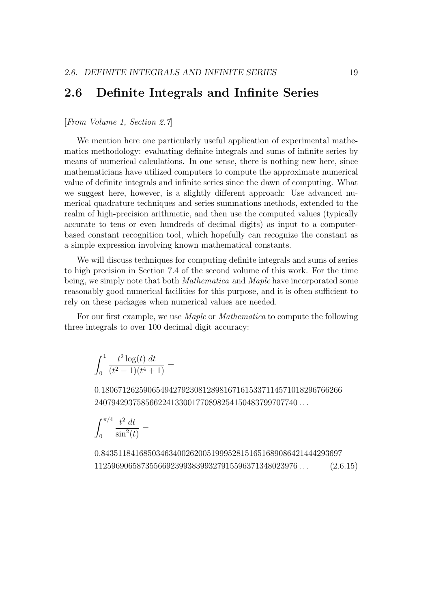## 2.6 Definite Integrals and Infinite Series

#### [From Volume 1, Section 2.7]

We mention here one particularly useful application of experimental mathematics methodology: evaluating definite integrals and sums of infinite series by means of numerical calculations. In one sense, there is nothing new here, since mathematicians have utilized computers to compute the approximate numerical value of definite integrals and infinite series since the dawn of computing. What we suggest here, however, is a slightly different approach: Use advanced numerical quadrature techniques and series summations methods, extended to the realm of high-precision arithmetic, and then use the computed values (typically accurate to tens or even hundreds of decimal digits) as input to a computerbased constant recognition tool, which hopefully can recognize the constant as a simple expression involving known mathematical constants.

We will discuss techniques for computing definite integrals and sums of series to high precision in Section 7.4 of the second volume of this work. For the time being, we simply note that both *Mathematica* and *Maple* have incorporated some reasonably good numerical facilities for this purpose, and it is often sufficient to rely on these packages when numerical values are needed.

For our first example, we use *Maple* or *Mathematica* to compute the following three integrals to over 100 decimal digit accuracy:

$$
\int_0^1 \frac{t^2 \log(t) \, dt}{(t^2 - 1)(t^4 + 1)} =
$$

0.180671262590654942792308128981671615337114571018296766266 240794293758566224133001770898254150483799707740 . . .

$$
\int_0^{\pi/4} \frac{t^2 dt}{\sin^2(t)} =
$$

0.843511841685034634002620051999528151651689086421444293697 112596906587355669239938399327915596371348023976 . . . (2.6.15)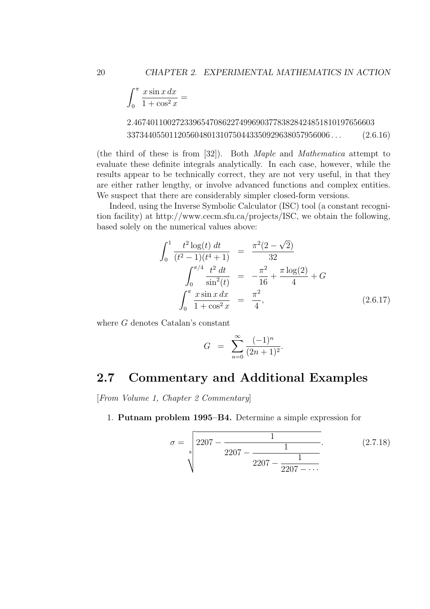$$
\int_0^\pi \frac{x \sin x \, dx}{1 + \cos^2 x} =
$$

#### 2.467401100272339654708622749969037783828424851810197656603 337344055011205604801310750443350929638057956006 . . . (2.6.16)

(the third of these is from [32]). Both Maple and Mathematica attempt to evaluate these definite integrals analytically. In each case, however, while the results appear to be technically correct, they are not very useful, in that they are either rather lengthy, or involve advanced functions and complex entities. We suspect that there are considerably simpler closed-form versions.

Indeed, using the Inverse Symbolic Calculator (ISC) tool (a constant recognition facility) at http://www.cecm.sfu.ca/projects/ISC, we obtain the following, based solely on the numerical values above:

$$
\int_0^1 \frac{t^2 \log(t) dt}{(t^2 - 1)(t^4 + 1)} = \frac{\pi^2 (2 - \sqrt{2})}{32}
$$
\n
$$
\int_0^{\pi/4} \frac{t^2 dt}{\sin^2(t)} = -\frac{\pi^2}{16} + \frac{\pi \log(2)}{4} + G
$$
\n
$$
\int_0^{\pi} \frac{x \sin x dx}{1 + \cos^2 x} = \frac{\pi^2}{4},
$$
\n(2.6.17)

where G denotes Catalan's constant

$$
G = \sum_{n=0}^{\infty} \frac{(-1)^n}{(2n+1)^2}.
$$

## 2.7 Commentary and Additional Examples

[From Volume 1, Chapter 2 Commentary]

#### 1. Putnam problem 1995–B4. Determine a simple expression for

$$
\sigma = \sqrt{\frac{2207 - \frac{1}{2207 - \frac{1}{2207 - \frac{1}{2207 - \dots}}}}.
$$
\n(2.7.18)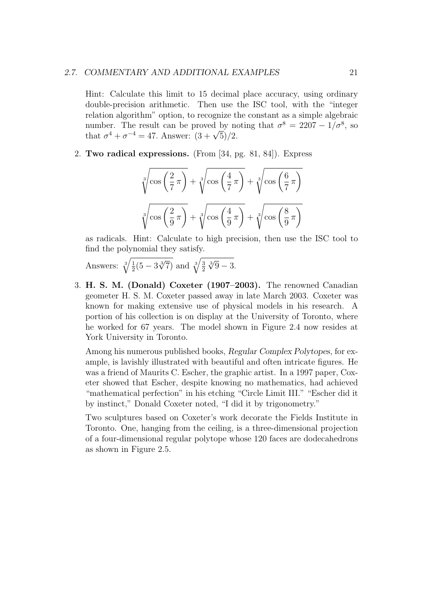#### 2.7. COMMENTARY AND ADDITIONAL EXAMPLES 21

Hint: Calculate this limit to 15 decimal place accuracy, using ordinary double-precision arithmetic. Then use the ISC tool, with the "integer relation algorithm" option, to recognize the constant as a simple algebraic number. The result can be proved by noting that  $\sigma^8 = 2207 - 1/\sigma^8$ , so number. The result can be proved by no<br>that  $\sigma^4 + \sigma^{-4} = 47$ . Answer:  $(3 + \sqrt{5})/2$ .

2. Two radical expressions. (From [34, pg. 81, 84]). Express

$$
\sqrt[3]{\cos\left(\frac{2}{7}\pi\right)} + \sqrt[3]{\cos\left(\frac{4}{7}\pi\right)} + \sqrt[3]{\cos\left(\frac{6}{7}\pi\right)}
$$

$$
\sqrt[3]{\cos\left(\frac{2}{9}\pi\right)} + \sqrt[3]{\cos\left(\frac{4}{9}\pi\right)} + \sqrt[3]{\cos\left(\frac{8}{9}\pi\right)}
$$

as radicals. Hint: Calculate to high precision, then use the ISC tool to find the polynomial they satisfy.

Answers:  $\chi^3$  $\sum_{i=1}^{n}$ 1  $\frac{1}{2}(5-3\sqrt[3]{7})$  and  $\sqrt[3]{2}$  $\sum_{i=1}^{n}$ 3 2  $\frac{1}{\sqrt[3]{9}-3}.$ 

3. H. S. M. (Donald) Coxeter (1907–2003). The renowned Canadian geometer H. S. M. Coxeter passed away in late March 2003. Coxeter was known for making extensive use of physical models in his research. A portion of his collection is on display at the University of Toronto, where he worked for 67 years. The model shown in Figure 2.4 now resides at York University in Toronto.

Among his numerous published books, Regular Complex Polytopes, for example, is lavishly illustrated with beautiful and often intricate figures. He was a friend of Maurits C. Escher, the graphic artist. In a 1997 paper, Coxeter showed that Escher, despite knowing no mathematics, had achieved "mathematical perfection" in his etching "Circle Limit III." "Escher did it by instinct," Donald Coxeter noted, "I did it by trigonometry."

Two sculptures based on Coxeter's work decorate the Fields Institute in Toronto. One, hanging from the ceiling, is a three-dimensional projection of a four-dimensional regular polytope whose 120 faces are dodecahedrons as shown in Figure 2.5.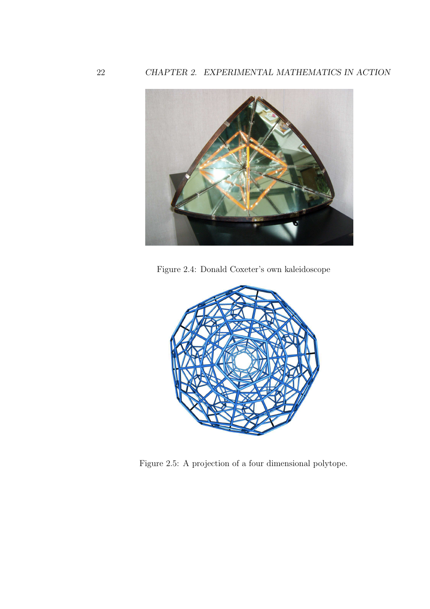

Figure 2.4: Donald Coxeter's own kaleidoscope



Figure 2.5: A projection of a four dimensional polytope.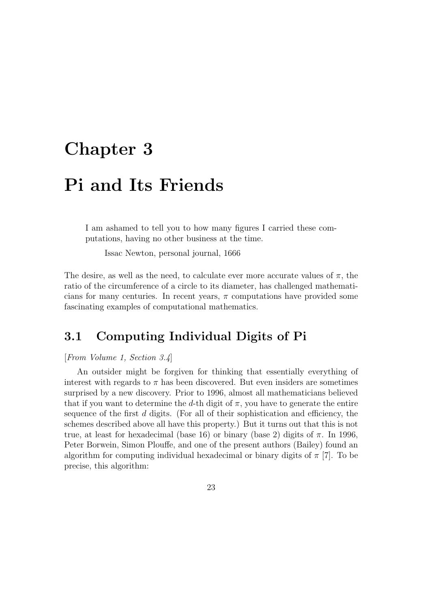## Chapter 3

## Pi and Its Friends

I am ashamed to tell you to how many figures I carried these computations, having no other business at the time.

Issac Newton, personal journal, 1666

The desire, as well as the need, to calculate ever more accurate values of  $\pi$ , the ratio of the circumference of a circle to its diameter, has challenged mathematicians for many centuries. In recent years,  $\pi$  computations have provided some fascinating examples of computational mathematics.

## 3.1 Computing Individual Digits of Pi

[From Volume 1, Section 3.4]

An outsider might be forgiven for thinking that essentially everything of interest with regards to  $\pi$  has been discovered. But even insiders are sometimes surprised by a new discovery. Prior to 1996, almost all mathematicians believed that if you want to determine the d-th digit of  $\pi$ , you have to generate the entire sequence of the first  $d$  digits. (For all of their sophistication and efficiency, the schemes described above all have this property.) But it turns out that this is not true, at least for hexadecimal (base 16) or binary (base 2) digits of  $\pi$ . In 1996, Peter Borwein, Simon Plouffe, and one of the present authors (Bailey) found an algorithm for computing individual hexadecimal or binary digits of  $\pi$  [7]. To be precise, this algorithm:

23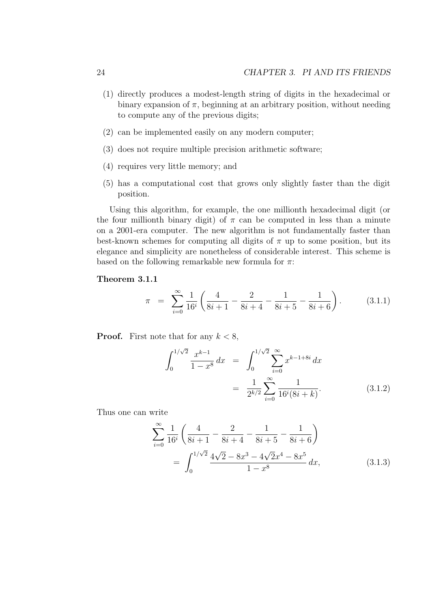- (1) directly produces a modest-length string of digits in the hexadecimal or binary expansion of  $\pi$ , beginning at an arbitrary position, without needing to compute any of the previous digits;
- (2) can be implemented easily on any modern computer;
- (3) does not require multiple precision arithmetic software;
- (4) requires very little memory; and
- (5) has a computational cost that grows only slightly faster than the digit position.

Using this algorithm, for example, the one millionth hexadecimal digit (or the four millionth binary digit) of  $\pi$  can be computed in less than a minute on a 2001-era computer. The new algorithm is not fundamentally faster than best-known schemes for computing all digits of  $\pi$  up to some position, but its elegance and simplicity are nonetheless of considerable interest. This scheme is based on the following remarkable new formula for  $\pi$ :

#### Theorem 3.1.1

$$
\pi = \sum_{i=0}^{\infty} \frac{1}{16^i} \left( \frac{4}{8i+1} - \frac{2}{8i+4} - \frac{1}{8i+5} - \frac{1}{8i+6} \right). \tag{3.1.1}
$$

**Proof.** First note that for any  $k < 8$ ,

$$
\int_0^{1/\sqrt{2}} \frac{x^{k-1}}{1-x^8} dx = \int_0^{1/\sqrt{2}} \sum_{i=0}^\infty x^{k-1+8i} dx
$$

$$
= \frac{1}{2^{k/2}} \sum_{i=0}^\infty \frac{1}{16^i (8i+k)}.
$$
(3.1.2)

Thus one can write

$$
\sum_{i=0}^{\infty} \frac{1}{16^i} \left( \frac{4}{8i+1} - \frac{2}{8i+4} - \frac{1}{8i+5} - \frac{1}{8i+6} \right)
$$

$$
= \int_0^{1/\sqrt{2}} \frac{4\sqrt{2} - 8x^3 - 4\sqrt{2}x^4 - 8x^5}{1 - x^8} dx,
$$
(3.1.3)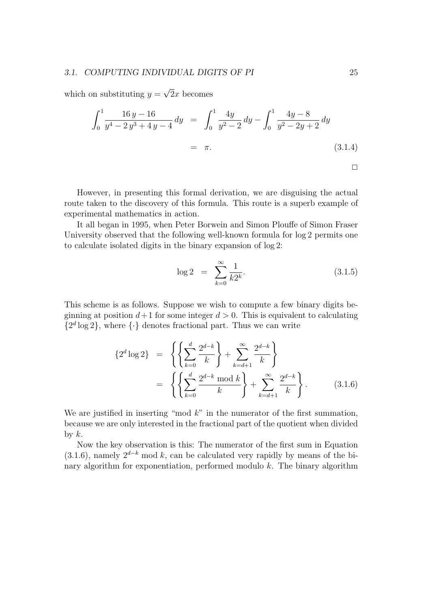which on substituting  $y =$ √ 2x becomes

$$
\int_0^1 \frac{16y - 16}{y^4 - 2y^3 + 4y - 4} \, dy = \int_0^1 \frac{4y}{y^2 - 2} \, dy - \int_0^1 \frac{4y - 8}{y^2 - 2y + 2} \, dy
$$
\n
$$
= \pi. \tag{3.1.4}
$$

However, in presenting this formal derivation, we are disguising the actual route taken to the discovery of this formula. This route is a superb example of experimental mathematics in action.

It all began in 1995, when Peter Borwein and Simon Plouffe of Simon Fraser University observed that the following well-known formula for log 2 permits one to calculate isolated digits in the binary expansion of log 2:

$$
\log 2 = \sum_{k=0}^{\infty} \frac{1}{k2^k}.
$$
 (3.1.5)

This scheme is as follows. Suppose we wish to compute a few binary digits beginning at position  $d+1$  for some integer  $d > 0$ . This is equivalent to calculating  ${2^d \log 2}$ , where  ${\{\cdot\}}$  denotes fractional part. Thus we can write

$$
\{2^{d} \log 2\} = \left\{ \left\{ \sum_{k=0}^{d} \frac{2^{d-k}}{k} \right\} + \sum_{k=d+1}^{\infty} \frac{2^{d-k}}{k} \right\}
$$

$$
= \left\{ \left\{ \sum_{k=0}^{d} \frac{2^{d-k} \mod k}{k} \right\} + \sum_{k=d+1}^{\infty} \frac{2^{d-k}}{k} \right\}.
$$
(3.1.6)

We are justified in inserting "mod  $k$ " in the numerator of the first summation, because we are only interested in the fractional part of the quotient when divided by  $k$ .

Now the key observation is this: The numerator of the first sum in Equation (3.1.6), namely  $2^{d-k}$  mod k, can be calculated very rapidly by means of the binary algorithm for exponentiation, performed modulo  $k$ . The binary algorithm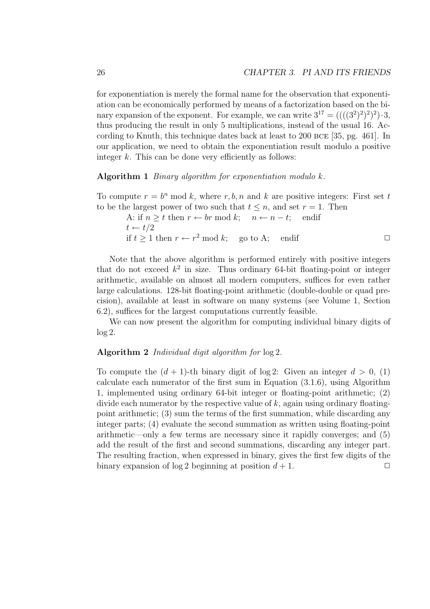for exponentiation is merely the formal name for the observation that exponentiation can be economically performed by means of a factorization based on the binary expansion of the exponent. For example, we can write  $3^{17} = (((3^2)^2)^2)^2) \cdot 3$ , thus producing the result in only 5 multiplications, instead of the usual 16. According to Knuth, this technique dates back at least to 200 bce [35, pg. 461]. In our application, we need to obtain the exponentiation result modulo a positive integer  $k$ . This can be done very efficiently as follows:

#### Algorithm 1 *Binary algorithm for exponentiation modulo k.*

To compute  $r = b^n \mod k$ , where r, b, n and k are positive integers: First set t to be the largest power of two such that  $t \leq n$ , and set  $r = 1$ . Then

A: if 
$$
n \ge t
$$
 then  $r \leftarrow br \mod k$ ;  $n \leftarrow n - t$ ; endif  
\n $t \leftarrow t/2$   
\nif  $t \ge 1$  then  $r \leftarrow r^2 \mod k$ ; go to A; endif

Note that the above algorithm is performed entirely with positive integers that do not exceed  $k^2$  in size. Thus ordinary 64-bit floating-point or integer arithmetic, available on almost all modern computers, suffices for even rather large calculations. 128-bit floating-point arithmetic (double-double or quad precision), available at least in software on many systems (see Volume 1, Section 6.2), suffices for the largest computations currently feasible.

We can now present the algorithm for computing individual binary digits of  $log 2$ .

#### Algorithm 2 Individual digit algorithm for  $\log 2$ .

To compute the  $(d + 1)$ -th binary digit of log 2: Given an integer  $d > 0$ , (1) calculate each numerator of the first sum in Equation (3.1.6), using Algorithm 1, implemented using ordinary 64-bit integer or floating-point arithmetic; (2) divide each numerator by the respective value of k, again using ordinary floatingpoint arithmetic; (3) sum the terms of the first summation, while discarding any integer parts; (4) evaluate the second summation as written using floating-point arithmetic—only a few terms are necessary since it rapidly converges; and (5) add the result of the first and second summations, discarding any integer part. The resulting fraction, when expressed in binary, gives the first few digits of the binary expansion of  $\log 2$  beginning at position  $d + 1$ .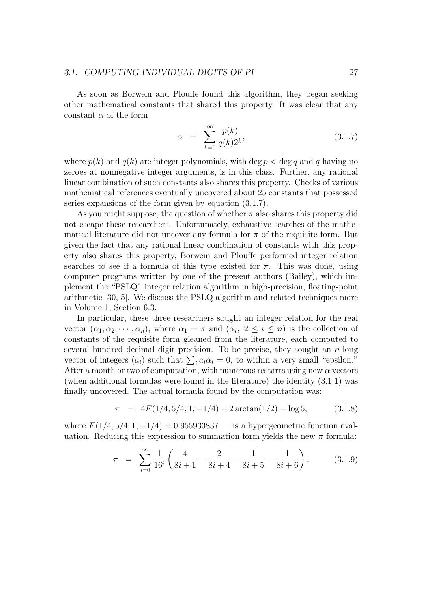#### 3.1. COMPUTING INDIVIDUAL DIGITS OF PI 27

As soon as Borwein and Plouffe found this algorithm, they began seeking other mathematical constants that shared this property. It was clear that any constant  $\alpha$  of the form

$$
\alpha = \sum_{k=0}^{\infty} \frac{p(k)}{q(k)2^k},\tag{3.1.7}
$$

where  $p(k)$  and  $q(k)$  are integer polynomials, with deg  $p < \deg q$  and q having no zeroes at nonnegative integer arguments, is in this class. Further, any rational linear combination of such constants also shares this property. Checks of various mathematical references eventually uncovered about 25 constants that possessed series expansions of the form given by equation (3.1.7).

As you might suppose, the question of whether  $\pi$  also shares this property did not escape these researchers. Unfortunately, exhaustive searches of the mathematical literature did not uncover any formula for  $\pi$  of the requisite form. But given the fact that any rational linear combination of constants with this property also shares this property, Borwein and Plouffe performed integer relation searches to see if a formula of this type existed for  $\pi$ . This was done, using computer programs written by one of the present authors (Bailey), which implement the "PSLQ" integer relation algorithm in high-precision, floating-point arithmetic [30, 5]. We discuss the PSLQ algorithm and related techniques more in Volume 1, Section 6.3.

In particular, these three researchers sought an integer relation for the real vector  $(\alpha_1, \alpha_2, \dots, \alpha_n)$ , where  $\alpha_1 = \pi$  and  $(\alpha_i, 2 \le i \le n)$  is the collection of constants of the requisite form gleaned from the literature, each computed to several hundred decimal digit precision. To be precise, they sought an  $n$ -long several nundred declinal digit precision. To be precise, they sought an *n*-long<br>vector of integers  $(a_i)$  such that  $\sum_i a_i \alpha_i = 0$ , to within a very small "epsilon." After a month or two of computation, with numerous restarts using new  $\alpha$  vectors (when additional formulas were found in the literature) the identity (3.1.1) was finally uncovered. The actual formula found by the computation was:

$$
\pi = 4F(1/4, 5/4; 1; -1/4) + 2\arctan(1/2) - \log 5, \tag{3.1.8}
$$

where  $F(1/4, 5/4; 1; -1/4) = 0.955933837...$  is a hypergeometric function evaluation. Reducing this expression to summation form yields the new  $\pi$  formula:

$$
\pi = \sum_{i=0}^{\infty} \frac{1}{16^i} \left( \frac{4}{8i+1} - \frac{2}{8i+4} - \frac{1}{8i+5} - \frac{1}{8i+6} \right). \tag{3.1.9}
$$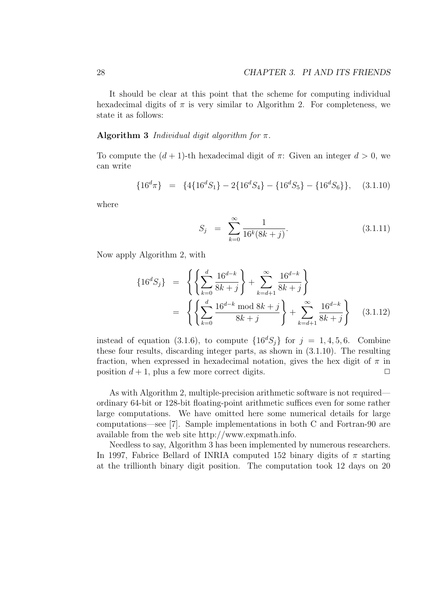It should be clear at this point that the scheme for computing individual hexadecimal digits of  $\pi$  is very similar to Algorithm 2. For completeness, we state it as follows:

#### **Algorithm 3** Individual digit algorithm for  $\pi$ .

To compute the  $(d+1)$ -th hexadecimal digit of  $\pi$ : Given an integer  $d > 0$ , we can write

$$
\{16^d\pi\} = \{4\{16^dS_1\} - 2\{16^dS_4\} - \{16^dS_5\} - \{16^dS_6\}\}, \quad (3.1.10)
$$

where

$$
S_j = \sum_{k=0}^{\infty} \frac{1}{16^k (8k+j)}.
$$
\n(3.1.11)

Now apply Algorithm 2, with

$$
\{16^dS_j\} = \left\{ \left\{ \sum_{k=0}^d \frac{16^{d-k}}{8k+j} \right\} + \sum_{k=d+1}^\infty \frac{16^{d-k}}{8k+j} \right\}
$$
  
= 
$$
\left\{ \left\{ \sum_{k=0}^d \frac{16^{d-k} \mod 8k+j}{8k+j} \right\} + \sum_{k=d+1}^\infty \frac{16^{d-k}}{8k+j} \right\}
$$
(3.1.12)

instead of equation (3.1.6), to compute  $\{16^dS_j\}$  for  $j = 1, 4, 5, 6$ . Combine these four results, discarding integer parts, as shown in (3.1.10). The resulting fraction, when expressed in hexadecimal notation, gives the hex digit of  $\pi$  in position  $d + 1$ , plus a few more correct digits.  $\Box$ 

As with Algorithm 2, multiple-precision arithmetic software is not required ordinary 64-bit or 128-bit floating-point arithmetic suffices even for some rather large computations. We have omitted here some numerical details for large computations—see [7]. Sample implementations in both C and Fortran-90 are available from the web site http://www.expmath.info.

Needless to say, Algorithm 3 has been implemented by numerous researchers. In 1997, Fabrice Bellard of INRIA computed 152 binary digits of  $\pi$  starting at the trillionth binary digit position. The computation took 12 days on 20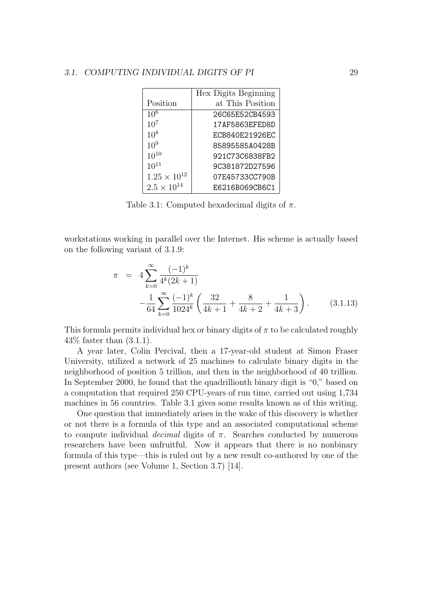|                       | Hex Digits Beginning |
|-----------------------|----------------------|
| Position              | at This Position     |
| $10^{6}$              | 26C65E52CB4593       |
| $10^{7}$              | 17AF5863EFED8D       |
| $10^{8}$              | ECB840E21926EC       |
| $10^{9}$              | 85895585A0428B       |
| $10^{10}$             | 921C73C6838FB2       |
| $10^{11}$             | 9C381872D27596       |
| $1.25 \times 10^{12}$ | 07E45733CC790B       |
| $2.5\times10^{14}$    | E6216B069CB6C1       |

Table 3.1: Computed hexadecimal digits of  $\pi$ .

workstations working in parallel over the Internet. His scheme is actually based on the following variant of 3.1.9:

$$
\pi = 4 \sum_{k=0}^{\infty} \frac{(-1)^k}{4^k (2k+1)} - \frac{1}{64} \sum_{k=0}^{\infty} \frac{(-1)^k}{1024^k} \left( \frac{32}{4k+1} + \frac{8}{4k+2} + \frac{1}{4k+3} \right). \tag{3.1.13}
$$

This formula permits individual hex or binary digits of  $\pi$  to be calculated roughly 43% faster than (3.1.1).

A year later, Colin Percival, then a 17-year-old student at Simon Fraser University, utilized a network of 25 machines to calculate binary digits in the neighborhood of position 5 trillion, and then in the neighborhood of 40 trillion. In September 2000, he found that the quadrillionth binary digit is "0," based on a computation that required 250 CPU-years of run time, carried out using 1,734 machines in 56 countries. Table 3.1 gives some results known as of this writing.

One question that immediately arises in the wake of this discovery is whether or not there is a formula of this type and an associated computational scheme to compute individual *decimal* digits of  $\pi$ . Searches conducted by numerous researchers have been unfruitful. Now it appears that there is no nonbinary formula of this type—this is ruled out by a new result co-authored by one of the present authors (see Volume 1, Section 3.7) [14].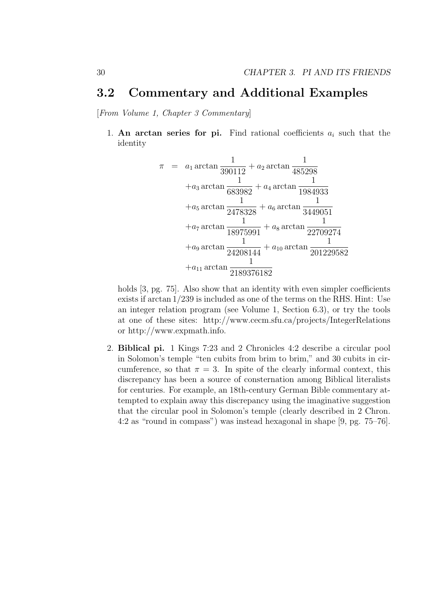### 3.2 Commentary and Additional Examples

[From Volume 1, Chapter 3 Commentary]

1. An arctan series for pi. Find rational coefficients  $a_i$  such that the identity

$$
\pi = a_1 \arctan \frac{1}{390112} + a_2 \arctan \frac{1}{485298}
$$
  
\n
$$
+ a_3 \arctan \frac{1}{683982} + a_4 \arctan \frac{1}{1984933}
$$
  
\n
$$
+ a_5 \arctan \frac{1}{2478328} + a_6 \arctan \frac{1}{3449051}
$$
  
\n
$$
+ a_7 \arctan \frac{1}{18975991} + a_8 \arctan \frac{1}{22709274}
$$
  
\n
$$
+ a_9 \arctan \frac{1}{24208144} + a_{10} \arctan \frac{1}{201229582}
$$
  
\n
$$
+ a_{11} \arctan \frac{1}{2189376182}
$$

holds [3, pg. 75]. Also show that an identity with even simpler coefficients exists if arctan 1/239 is included as one of the terms on the RHS. Hint: Use an integer relation program (see Volume 1, Section 6.3), or try the tools at one of these sites: http://www.cecm.sfu.ca/projects/IntegerRelations or http://www.expmath.info.

2. Biblical pi. 1 Kings 7:23 and 2 Chronicles 4:2 describe a circular pool in Solomon's temple "ten cubits from brim to brim," and 30 cubits in circumference, so that  $\pi = 3$ . In spite of the clearly informal context, this discrepancy has been a source of consternation among Biblical literalists for centuries. For example, an 18th-century German Bible commentary attempted to explain away this discrepancy using the imaginative suggestion that the circular pool in Solomon's temple (clearly described in 2 Chron. 4:2 as "round in compass") was instead hexagonal in shape [9, pg. 75–76].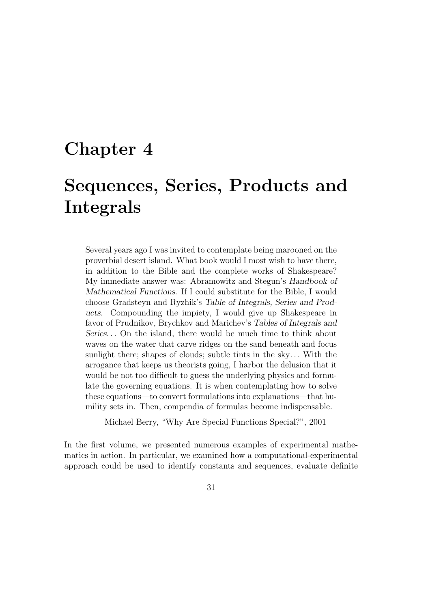## Chapter 4

## Sequences, Series, Products and Integrals

Several years ago I was invited to contemplate being marooned on the proverbial desert island. What book would I most wish to have there, in addition to the Bible and the complete works of Shakespeare? My immediate answer was: Abramowitz and Stegun's Handbook of Mathematical Functions. If I could substitute for the Bible, I would choose Gradsteyn and Ryzhik's Table of Integrals, Series and Products. Compounding the impiety, I would give up Shakespeare in favor of Prudnikov, Brychkov and Marichev's Tables of Integrals and Series... On the island, there would be much time to think about waves on the water that carve ridges on the sand beneath and focus sunlight there; shapes of clouds; subtle tints in the sky... With the arrogance that keeps us theorists going, I harbor the delusion that it would be not too difficult to guess the underlying physics and formulate the governing equations. It is when contemplating how to solve these equations—to convert formulations into explanations—that humility sets in. Then, compendia of formulas become indispensable.

Michael Berry, "Why Are Special Functions Special?", 2001

In the first volume, we presented numerous examples of experimental mathematics in action. In particular, we examined how a computational-experimental approach could be used to identify constants and sequences, evaluate definite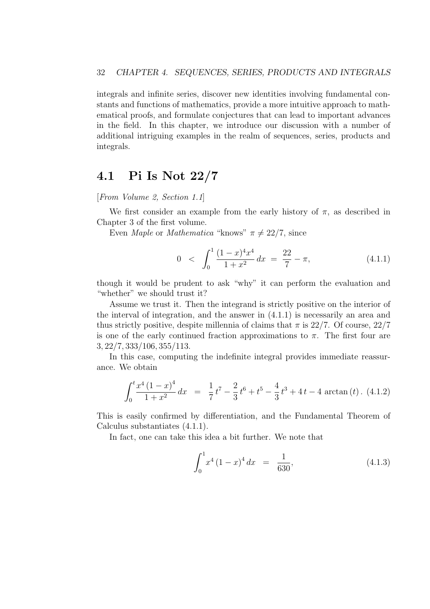integrals and infinite series, discover new identities involving fundamental constants and functions of mathematics, provide a more intuitive approach to mathematical proofs, and formulate conjectures that can lead to important advances in the field. In this chapter, we introduce our discussion with a number of additional intriguing examples in the realm of sequences, series, products and integrals.

## 4.1 Pi Is Not 22/7

#### [From Volume 2, Section 1.1]

We first consider an example from the early history of  $\pi$ , as described in Chapter 3 of the first volume.

Even Maple or Mathematica "knows"  $\pi \neq 22/7$ , since

$$
0 < \int_0^1 \frac{(1-x)^4 x^4}{1+x^2} \, dx = \frac{22}{7} - \pi,\tag{4.1.1}
$$

though it would be prudent to ask "why" it can perform the evaluation and "whether" we should trust it?

Assume we trust it. Then the integrand is strictly positive on the interior of the interval of integration, and the answer in (4.1.1) is necessarily an area and thus strictly positive, despite millennia of claims that  $\pi$  is 22/7. Of course, 22/7 is one of the early continued fraction approximations to  $\pi$ . The first four are 3, 22/7, 333/106, 355/113.

In this case, computing the indefinite integral provides immediate reassurance. We obtain

$$
\int_0^t \frac{x^4 (1-x)^4}{1+x^2} dx = \frac{1}{7}t^7 - \frac{2}{3}t^6 + t^5 - \frac{4}{3}t^3 + 4t - 4 \arctan(t) \tag{4.1.2}
$$

This is easily confirmed by differentiation, and the Fundamental Theorem of Calculus substantiates (4.1.1).

In fact, one can take this idea a bit further. We note that

$$
\int_0^1 x^4 (1-x)^4 dx = \frac{1}{630},
$$
\n(4.1.3)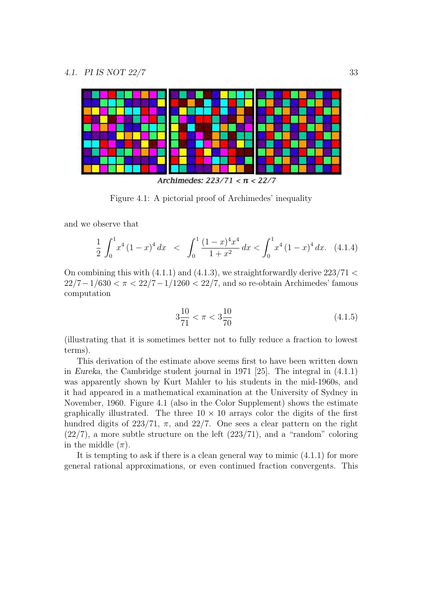

Figure 4.1: A pictorial proof of Archimedes' inequality

and we observe that

$$
\frac{1}{2} \int_0^1 x^4 (1-x)^4 dx \quad < \quad \int_0^1 \frac{(1-x)^4 x^4}{1+x^2} dx < \int_0^1 x^4 (1-x)^4 dx. \tag{4.1.4}
$$

On combining this with  $(4.1.1)$  and  $(4.1.3)$ , we straightforwardly derive  $223/71 <$  $22/7-1/630 < \pi < 22/7-1/1260 < 22/7$ , and so re-obtain Archimedes' famous computation

$$
3\frac{10}{71} < \pi < 3\frac{10}{70} \tag{4.1.5}
$$

(illustrating that it is sometimes better not to fully reduce a fraction to lowest terms).

This derivation of the estimate above seems first to have been written down in Eureka, the Cambridge student journal in 1971 [25]. The integral in (4.1.1) was apparently shown by Kurt Mahler to his students in the mid-1960s, and it had appeared in a mathematical examination at the University of Sydney in November, 1960. Figure 4.1 (also in the Color Supplement) shows the estimate graphically illustrated. The three  $10 \times 10$  arrays color the digits of the first hundred digits of 223/71,  $\pi$ , and 22/7. One sees a clear pattern on the right  $(22/7)$ , a more subtle structure on the left  $(223/71)$ , and a "random" coloring in the middle  $(\pi)$ .

It is tempting to ask if there is a clean general way to mimic  $(4.1.1)$  for more general rational approximations, or even continued fraction convergents. This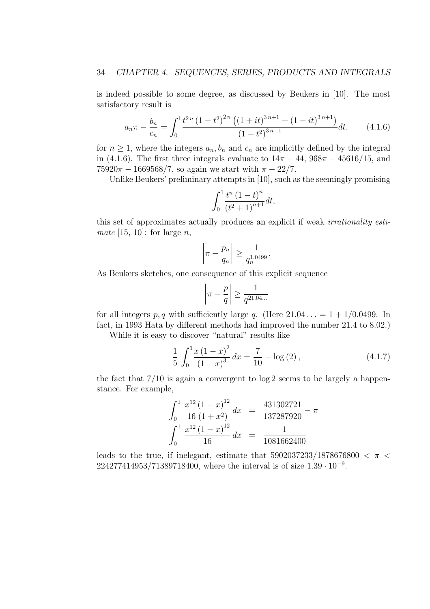is indeed possible to some degree, as discussed by Beukers in [10]. The most satisfactory result is

$$
a_n \pi - \frac{b_n}{c_n} = \int_0^1 \frac{t^{2n} (1 - t^2)^{2n} \left( (1 + it)^{3n+1} + (1 - it)^{3n+1} \right)}{(1 + t^2)^{3n+1}} dt, \qquad (4.1.6)
$$

for  $n \geq 1$ , where the integers  $a_n, b_n$  and  $c_n$  are implicitly defined by the integral in (4.1.6). The first three integrals evaluate to  $14\pi - 44$ ,  $968\pi - 45616/15$ , and  $75920\pi - 1669568/7$ , so again we start with  $\pi - 22/7$ .

Unlike Beukers' preliminary attempts in [10], such as the seemingly promising

$$
\int_0^1 \frac{t^n (1 - t)^n}{(t^2 + 1)^{n+1}} dt,
$$

this set of approximates actually produces an explicit if weak irrationality estimate [15, 10]: for large  $n$ ,

$$
\left|\pi - \frac{p_n}{q_n}\right| \ge \frac{1}{q_n^{1.0499}}.
$$

As Beukers sketches, one consequence of this explicit sequence

$$
\left|\pi - \frac{p}{q}\right| \ge \frac{1}{q^{21.04\dots}}
$$

for all integers p, q with sufficiently large q. (Here  $21.04... = 1 + 1/0.0499$ . In fact, in 1993 Hata by different methods had improved the number 21.4 to 8.02.)

While it is easy to discover "natural" results like

$$
\frac{1}{5} \int_0^1 \frac{x (1-x)^2}{(1+x)^3} dx = \frac{7}{10} - \log(2), \qquad (4.1.7)
$$

the fact that 7/10 is again a convergent to log 2 seems to be largely a happenstance. For example,

$$
\int_0^1 \frac{x^{12} (1-x)^{12}}{16 (1+x^2)} dx = \frac{431302721}{137287920} - \pi
$$
  

$$
\int_0^1 \frac{x^{12} (1-x)^{12}}{16} dx = \frac{1}{1081662400}
$$

leads to the true, if inelegant, estimate that  $5902037233/1878676800 < \pi <$  $224277414953/71389718400$ , where the interval is of size  $1.39 \cdot 10^{-9}$ .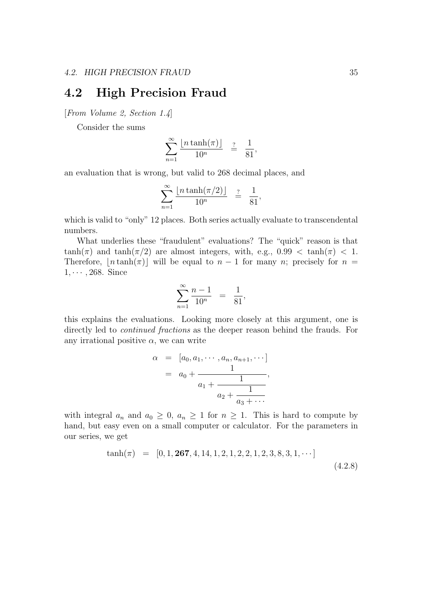# 4.2 High Precision Fraud

[From Volume 2, Section 1.4]

Consider the sums

$$
\sum_{n=1}^{\infty} \frac{\lfloor n \tanh(\pi) \rfloor}{10^n} \quad \stackrel{?}{=} \quad \frac{1}{81},
$$

an evaluation that is wrong, but valid to 268 decimal places, and

$$
\sum_{n=1}^{\infty} \frac{\lfloor n \tanh(\pi/2) \rfloor}{10^n} \quad \stackrel{?}{=} \quad \frac{1}{81},
$$

which is valid to "only" 12 places. Both series actually evaluate to transcendental numbers.

What underlies these "fraudulent" evaluations? The "quick" reason is that  $tanh(\pi)$  and  $tanh(\pi/2)$  are almost integers, with, e.g., 0.99  $\lt$   $tanh(\pi)$   $\lt$  1. Therefore,  $|n \tanh(\pi)|$  will be equal to  $n - 1$  for many n; precisely for  $n =$  $1, \cdots, 268$ . Since

$$
\sum_{n=1}^{\infty} \frac{n-1}{10^n} = \frac{1}{81},
$$

this explains the evaluations. Looking more closely at this argument, one is directly led to *continued fractions* as the deeper reason behind the frauds. For any irrational positive  $\alpha$ , we can write

$$
\alpha = [a_0, a_1, \cdots, a_n, a_{n+1}, \cdots]
$$
  
=  $a_0 + \frac{1}{a_1 + \frac{1}{a_2 + \frac{1}{a_3 + \cdots}}},$ 

with integral  $a_n$  and  $a_0 \geq 0$ ,  $a_n \geq 1$  for  $n \geq 1$ . This is hard to compute by hand, but easy even on a small computer or calculator. For the parameters in our series, we get

$$
tanh(\pi) = [0, 1, 267, 4, 14, 1, 2, 1, 2, 2, 1, 2, 3, 8, 3, 1, \cdots]
$$
\n(4.2.8)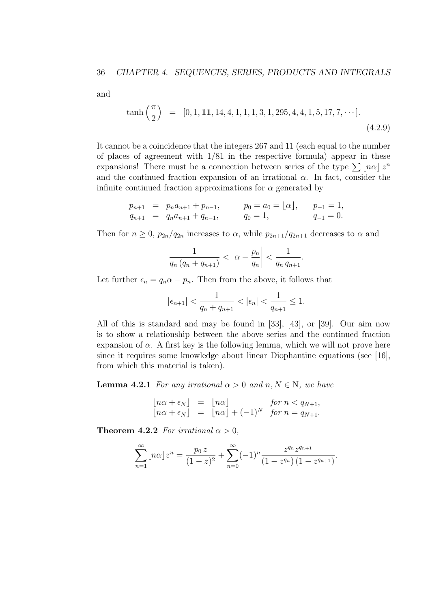and

$$
\tanh\left(\frac{\pi}{2}\right) = [0, 1, 11, 14, 4, 1, 1, 1, 3, 1, 295, 4, 4, 1, 5, 17, 7, \cdots].\tag{4.2.9}
$$

It cannot be a coincidence that the integers 267 and 11 (each equal to the number of places of agreement with  $1/81$  in the respective formula) appear in these or places of agreement with  $1/81$  in the respective formula) appear in these<br>expansions! There must be a connection between series of the type  $\sum |n\alpha| z^n$ and the continued fraction expansion of an irrational  $\alpha$ . In fact, consider the infinite continued fraction approximations for  $\alpha$  generated by

$$
p_{n+1} = p_n a_{n+1} + p_{n-1}, \qquad p_0 = a_0 = \lfloor \alpha \rfloor, \qquad p_{-1} = 1,
$$
  
\n
$$
q_{n+1} = q_n a_{n+1} + q_{n-1}, \qquad q_0 = 1, \qquad q_{-1} = 0.
$$

Then for  $n \geq 0$ ,  $p_{2n}/q_{2n}$  increases to  $\alpha$ , while  $p_{2n+1}/q_{2n+1}$  decreases to  $\alpha$  and

$$
\frac{1}{q_n (q_n + q_{n+1})} < \left| \alpha - \frac{p_n}{q_n} \right| < \frac{1}{q_n q_{n+1}}
$$

.

Let further  $\epsilon_n = q_n \alpha - p_n$ . Then from the above, it follows that

$$
|\epsilon_{n+1}| < \frac{1}{q_n + q_{n+1}} < |\epsilon_n| < \frac{1}{q_{n+1}} \le 1.
$$

All of this is standard and may be found in [33], [43], or [39]. Our aim now is to show a relationship between the above series and the continued fraction expansion of  $\alpha$ . A first key is the following lemma, which we will not prove here since it requires some knowledge about linear Diophantine equations (see [16], from which this material is taken).

**Lemma 4.2.1** For any irrational  $\alpha > 0$  and  $n, N \in \mathbb{N}$ , we have

$$
\begin{array}{rcl}\n\lfloor n\alpha + \epsilon_N \rfloor & = & \lfloor n\alpha \rfloor \\
\lfloor n\alpha + \epsilon_N \rfloor & = & \lfloor n\alpha \rfloor + (-1)^N \quad \text{for } n = q_{N+1}.\n\end{array}
$$

Theorem 4.2.2 For irrational  $\alpha > 0$ ,

$$
\sum_{n=1}^{\infty} \lfloor n\alpha \rfloor z^n = \frac{p_0 z}{(1-z)^2} + \sum_{n=0}^{\infty} (-1)^n \frac{z^{q_n} z^{q_{n+1}}}{(1-z^{q_n})(1-z^{q_{n+1}})}.
$$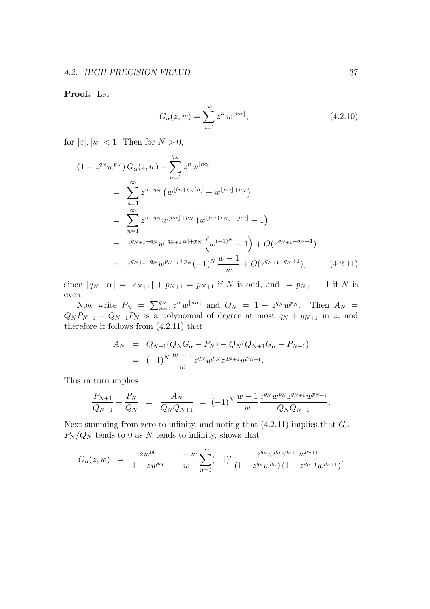#### 4.2. HIGH PRECISION FRAUD 37

### Proof. Let

$$
G_{\alpha}(z, w) = \sum_{n=1}^{\infty} z^n w^{\lfloor n\alpha \rfloor},
$$
\n(4.2.10)

for  $|z|, |w| < 1$ . Then for  $N > 0$ ,

$$
(1 - z^{q_N} w^{p_N}) G_{\alpha}(z, w) - \sum_{n=1}^{q_N} z^n w^{\lfloor n\alpha \rfloor}
$$
  
= 
$$
\sum_{n=1}^{\infty} z^{n+q_N} (w^{\lfloor (n+q_N)\alpha \rfloor} - w^{\lfloor n\alpha \rfloor + p_N})
$$
  
= 
$$
\sum_{n=1}^{\infty} z^{n+q_N} w^{\lfloor n\alpha \rfloor + p_N} (w^{\lfloor n\alpha + \epsilon_N \rfloor - \lfloor n\alpha \rfloor} - 1)
$$
  
= 
$$
z^{q_{N+1} + q_N} w^{\lfloor q_{N+1}\alpha \rfloor + p_N} (w^{(-1)^N} - 1) + O(z^{q_{N+1} + q_N + 1})
$$
  
= 
$$
z^{q_{N+1} + q_N} w^{p_{N+1} + p_N} (-1)^N \frac{w - 1}{w} + O(z^{q_{N+1} + q_N + 1}), \qquad (4.2.11)
$$

since  $[q_{N+1}\alpha] = \lfloor \epsilon_{N+1} \rfloor + p_{N+1} = p_{N+1}$  if N is odd, and  $=p_{N+1} - 1$  if N is even.

Now write  $P_N = \sum_{n=1}^{q_N}$  $_{n=1}^{q_N} z^n w^{\lfloor n\alpha \rfloor}$  and  $Q_N = 1 - z^{q_N} w^{p_N}$ . Then  $A_N =$  $Q_N P_{N+1} - Q_{N+1} P_N$  is a polynomial of degree at most  $q_N + q_{N+1}$  in z, and therefore it follows from (4.2.11) that

$$
A_N = Q_{N+1}(Q_N G_\alpha - P_N) - Q_N(Q_{N+1} G_\alpha - P_{N+1})
$$
  
= 
$$
(-1)^N \frac{w-1}{w} z^{q_N} w^{p_N} z^{q_{N+1}} w^{p_{N+1}}.
$$

This in turn implies

$$
\frac{P_{N+1}}{Q_{N+1}} - \frac{P_N}{Q_N} = \frac{A_N}{Q_N Q_{N+1}} = (-1)^N \frac{w-1}{w} \frac{z^{q_N} w^{p_N} z^{q_{N+1}} w^{p_{N+1}}}{Q_N Q_{N+1}}.
$$

Next summing from zero to infinity, and noting that  $(4.2.11)$  implies that  $G_{\alpha}$  –  $P_N/Q_N$  tends to 0 as N tends to infinity, shows that

$$
G_{\alpha}(z,w) = \frac{zw^{p_0}}{1 - zw^{p_0}} - \frac{1 - w}{w} \sum_{n=0}^{\infty} (-1)^n \frac{z^{q_n} w^{p_n} z^{q_{n+1}} w^{p_{n+1}}}{(1 - z^{q_n} w^{p_n}) (1 - z^{q_{n+1}} w^{p_{n+1}})}.
$$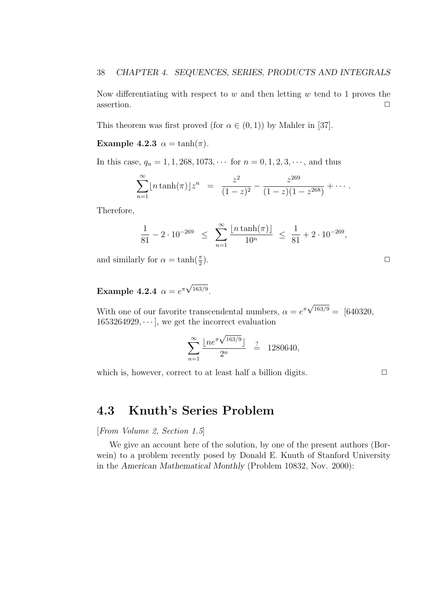Now differentiating with respect to  $w$  and then letting  $w$  tend to 1 proves the assertion.  $\hfill \square$ 

This theorem was first proved (for  $\alpha \in (0,1)$ ) by Mahler in [37].

Example 4.2.3  $\alpha = \tanh(\pi)$ .

In this case,  $q_n = 1, 1, 268, 1073, \cdots$  for  $n = 0, 1, 2, 3, \cdots$ , and thus

$$
\sum_{n=1}^{\infty} \lfloor n \tanh(\pi) \rfloor z^n = \frac{z^2}{(1-z)^2} - \frac{z^{269}}{(1-z)(1-z^{268})} + \cdots
$$

Therefore,

$$
\frac{1}{81} - 2 \cdot 10^{-269} \le \sum_{n=1}^{\infty} \frac{\lfloor n \tanh(\pi) \rfloor}{10^n} \le \frac{1}{81} + 2 \cdot 10^{-269},
$$

and similarly for  $\alpha = \tanh(\frac{\pi}{2})$ 

Example 4.2.4  $\alpha = e^{\pi \sqrt{163/9}}$ .

With one of our favorite transcendental numbers,  $\alpha = e^{\pi \sqrt{\frac{m}{\epsilon}}$  $163/9 = [640320,$  $1653264929, \dots$ , we get the incorrect evaluation

$$
\sum_{n=1}^{\infty} \frac{\lfloor n e^{\pi \sqrt{163/9}} \rfloor}{2^n} \stackrel{?}{=} 1280640,
$$

which is, however, correct to at least half a billion digits.  $\Box$ 

## 4.3 Knuth's Series Problem

[From Volume 2, Section 1.5]

We give an account here of the solution, by one of the present authors (Borwein) to a problem recently posed by Donald E. Knuth of Stanford University in the American Mathematical Monthly (Problem 10832, Nov. 2000):

).  $\Box$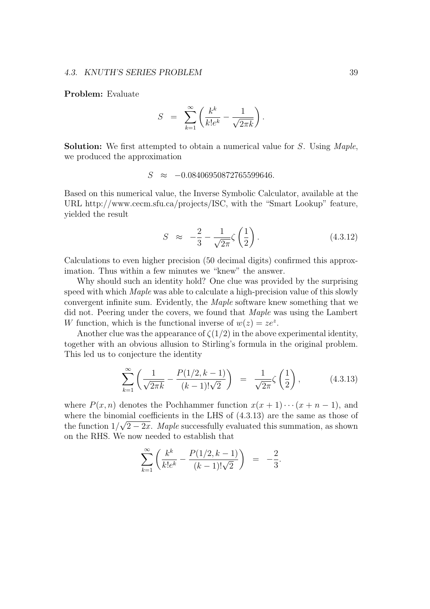Problem: Evaluate

$$
S = \sum_{k=1}^{\infty} \left( \frac{k^k}{k!e^k} - \frac{1}{\sqrt{2\pi k}} \right).
$$

Solution: We first attempted to obtain a numerical value for S. Using Maple, we produced the approximation

$$
S \approx -0.08406950872765599646.
$$

Based on this numerical value, the Inverse Symbolic Calculator, available at the URL http://www.cecm.sfu.ca/projects/ISC, with the "Smart Lookup" feature, yielded the result

$$
S \approx -\frac{2}{3} - \frac{1}{\sqrt{2\pi}} \zeta \left(\frac{1}{2}\right). \tag{4.3.12}
$$

Calculations to even higher precision (50 decimal digits) confirmed this approximation. Thus within a few minutes we "knew" the answer.

Why should such an identity hold? One clue was provided by the surprising speed with which *Maple* was able to calculate a high-precision value of this slowly convergent infinite sum. Evidently, the Maple software knew something that we did not. Peering under the covers, we found that Maple was using the Lambert W function, which is the functional inverse of  $w(z) = ze^z$ .

Another clue was the appearance of  $\zeta(1/2)$  in the above experimental identity, together with an obvious allusion to Stirling's formula in the original problem. This led us to conjecture the identity

$$
\sum_{k=1}^{\infty} \left( \frac{1}{\sqrt{2\pi k}} - \frac{P(1/2, k-1)}{(k-1)!\sqrt{2}} \right) = \frac{1}{\sqrt{2\pi}} \zeta \left( \frac{1}{2} \right), \quad (4.3.13)
$$

where  $P(x, n)$  denotes the Pochhammer function  $x(x + 1) \cdots (x + n - 1)$ , and where the binomial coefficients in the LHS of  $(4.3.13)$  are the same as those of the function  $1/\sqrt{2-2x}$ . Maple successfully evaluated this summation, as shown on the RHS. We now needed to establish that

$$
\sum_{k=1}^{\infty} \left( \frac{k^k}{k!e^k} - \frac{P(1/2, k-1)}{(k-1)!\sqrt{2}} \right) = -\frac{2}{3}.
$$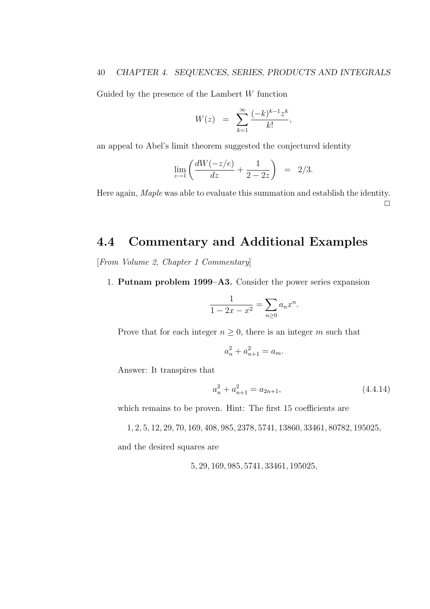Guided by the presence of the Lambert  $W$  function

$$
W(z) = \sum_{k=1}^{\infty} \frac{(-k)^{k-1} z^k}{k!},
$$

an appeal to Abel's limit theorem suggested the conjectured identity

$$
\lim_{z \to 1} \left( \frac{dW(-z/e)}{dz} + \frac{1}{2 - 2z} \right) = 2/3.
$$

Here again, Maple was able to evaluate this summation and establish the identity.  $\Box$ 

## 4.4 Commentary and Additional Examples

[From Volume 2, Chapter 1 Commentary]

1. Putnam problem 1999–A3. Consider the power series expansion

$$
\frac{1}{1 - 2x - x^2} = \sum_{n \ge 0} a_n x^n.
$$

Prove that for each integer  $n \geq 0$ , there is an integer m such that

$$
a_n^2 + a_{n+1}^2 = a_m.
$$

Answer: It transpires that

$$
a_n^2 + a_{n+1}^2 = a_{2n+1},
$$
\n(4.4.14)

which remains to be proven. Hint: The first 15 coefficients are

1, 2, 5, 12, 29, 70, 169, 408, 985, 2378, 5741, 13860, 33461, 80782, 195025,

and the desired squares are

```
5, 29, 169, 985, 5741, 33461, 195025,
```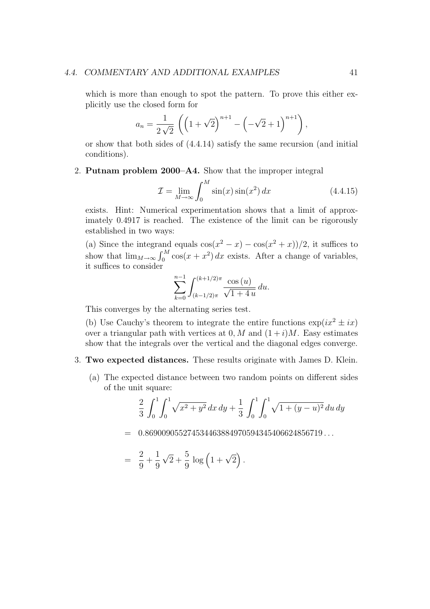#### 4.4. COMMENTARY AND ADDITIONAL EXAMPLES 41

which is more than enough to spot the pattern. To prove this either explicitly use the closed form for

$$
a_n = \frac{1}{2\sqrt{2}} \left( \left( 1 + \sqrt{2} \right)^{n+1} - \left( -\sqrt{2} + 1 \right)^{n+1} \right),
$$

or show that both sides of (4.4.14) satisfy the same recursion (and initial conditions).

### 2. Putnam problem 2000–A4. Show that the improper integral

$$
\mathcal{I} = \lim_{M \to \infty} \int_0^M \sin(x) \sin(x^2) dx \qquad (4.4.15)
$$

exists. Hint: Numerical experimentation shows that a limit of approximately 0.4917 is reached. The existence of the limit can be rigorously established in two ways:

(a) Since the integrand equals  $\cos(x^2 - x) - \cos(x^2 + x)/2$ , it suffices to (a) since the integrand equals  $\cos(x - x) = \cos(x + x)/2$ , it sumes to show that  $\lim_{M\to\infty} \int_0^M \cos(x + x^2) dx$  exists. After a change of variables, it suffices to consider

$$
\sum_{k=0}^{n-1} \int_{(k-1/2)\pi}^{(k+1/2)\pi} \frac{\cos(u)}{\sqrt{1+4u}} du.
$$

This converges by the alternating series test.

(b) Use Cauchy's theorem to integrate the entire functions  $\exp(ix^2 \pm ix)$ over a triangular path with vertices at  $0, M$  and  $(1+i)M$ . Easy estimates show that the integrals over the vertical and the diagonal edges converge.

### 3. Two expected distances. These results originate with James D. Klein.

(a) The expected distance between two random points on different sides of the unit square:

$$
\frac{2}{3} \int_0^1 \int_0^1 \sqrt{x^2 + y^2} \, dx \, dy + \frac{1}{3} \int_0^1 \int_0^1 \sqrt{1 + (y - u)^2} \, du \, dy
$$

 $= 0.869009055274534463884970594345406624856719...$ 

$$
= \frac{2}{9} + \frac{1}{9}\sqrt{2} + \frac{5}{9}\log(1+\sqrt{2}).
$$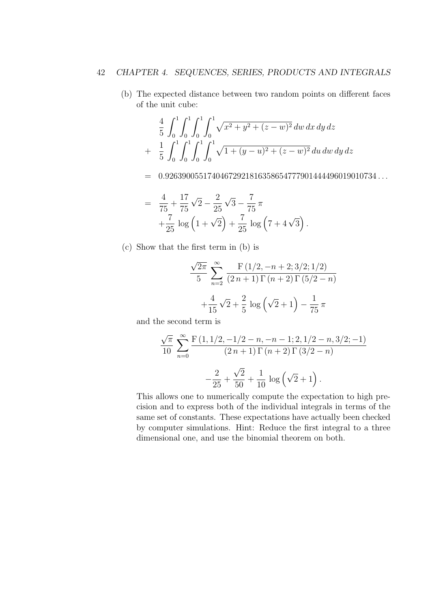(b) The expected distance between two random points on different faces of the unit cube:

$$
\frac{4}{5} \int_0^1 \int_0^1 \int_0^1 \int_0^1 \sqrt{x^2 + y^2 + (z - w)^2} \, dw \, dx \, dy \, dz
$$
  
+ 
$$
\frac{1}{5} \int_0^1 \int_0^1 \int_0^1 \int_0^1 \sqrt{1 + (y - u)^2 + (z - w)^2} \, du \, dw \, dy \, dz
$$

 $= 0.92639005517404672921816358654777901444496019010734...$ 

$$
= \frac{4}{75} + \frac{17}{75}\sqrt{2} - \frac{2}{25}\sqrt{3} - \frac{7}{75}\pi
$$
  
+ 
$$
\frac{7}{25}\log(1+\sqrt{2}) + \frac{7}{25}\log(7+4\sqrt{3}).
$$

(c) Show that the first term in (b) is

$$
\frac{\sqrt{2\pi}}{5} \sum_{n=2}^{\infty} \frac{F(1/2, -n+2; 3/2; 1/2)}{(2n+1)\Gamma(n+2)\Gamma(5/2-n)} + \frac{4}{15}\sqrt{2} + \frac{2}{5}\log(\sqrt{2}+1) - \frac{1}{75}\pi
$$

and the second term is

$$
\frac{\sqrt{\pi}}{10} \sum_{n=0}^{\infty} \frac{\mathrm{F}(1, 1/2, -1/2 - n, -n - 1; 2, 1/2 - n, 3/2; -1)}{(2n+1)\Gamma(n+2)\Gamma(3/2 - n)} -\frac{2}{25} + \frac{\sqrt{2}}{50} + \frac{1}{10} \log(\sqrt{2} + 1).
$$

This allows one to numerically compute the expectation to high precision and to express both of the individual integrals in terms of the same set of constants. These expectations have actually been checked by computer simulations. Hint: Reduce the first integral to a three dimensional one, and use the binomial theorem on both.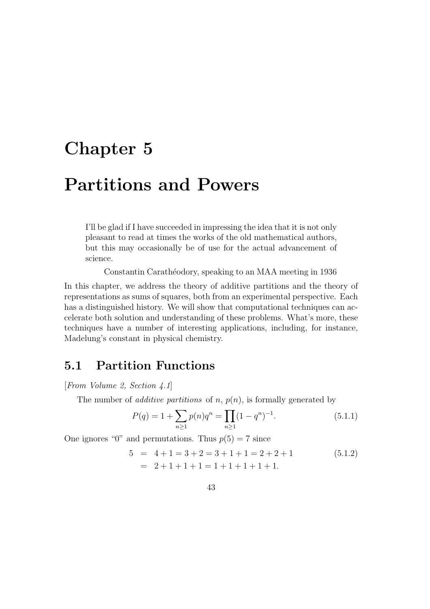# Chapter 5

# Partitions and Powers

I'll be glad if I have succeeded in impressing the idea that it is not only pleasant to read at times the works of the old mathematical authors, but this may occasionally be of use for the actual advancement of science.

Constantin Carathéodory, speaking to an MAA meeting in 1936

In this chapter, we address the theory of additive partitions and the theory of representations as sums of squares, both from an experimental perspective. Each has a distinguished history. We will show that computational techniques can accelerate both solution and understanding of these problems. What's more, these techniques have a number of interesting applications, including, for instance, Madelung's constant in physical chemistry.

# 5.1 Partition Functions

[From Volume 2, Section 4.1]

The number of *additive partitions* of *n*,  $p(n)$ , is formally generated by

$$
P(q) = 1 + \sum_{n \ge 1} p(n)q^n = \prod_{n \ge 1} (1 - q^n)^{-1}.
$$
 (5.1.1)

One ignores "0" and permutations. Thus  $p(5) = 7$  since

$$
5 = 4 + 1 = 3 + 2 = 3 + 1 + 1 = 2 + 2 + 1
$$
  
= 2 + 1 + 1 + 1 = 1 + 1 + 1 + 1 + 1. (5.1.2)

43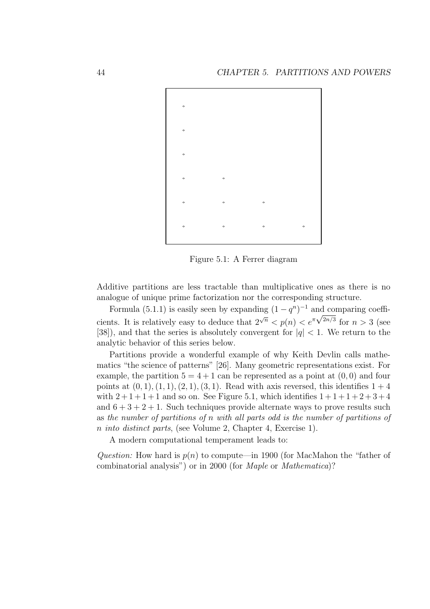

Figure 5.1: A Ferrer diagram

Additive partitions are less tractable than multiplicative ones as there is no analogue of unique prime factorization nor the corresponding structure.

Formula (5.1.1) is easily seen by expanding  $(1 - q^n)^{-1}$  and comparing coefficients. It is relatively easy to deduce that  $2^{\sqrt{n}} < p(n) < e^{\pi \sqrt{2n/3}}$  for  $n > 3$  (see [38]), and that the series is absolutely convergent for  $|q| < 1$ . We return to the analytic behavior of this series below.

Partitions provide a wonderful example of why Keith Devlin calls mathematics "the science of patterns" [26]. Many geometric representations exist. For example, the partition  $5 = 4 + 1$  can be represented as a point at  $(0, 0)$  and four points at  $(0, 1), (1, 1), (2, 1), (3, 1)$ . Read with axis reversed, this identifies  $1 + 4$ with  $2+1+1+1$  and so on. See Figure 5.1, which identifies  $1+1+1+2+3+4$ and  $6 + 3 + 2 + 1$ . Such techniques provide alternate ways to prove results such as the number of partitions of n with all parts odd is the number of partitions of n into distinct parts, (see Volume 2, Chapter 4, Exercise 1).

A modern computational temperament leads to:

*Question:* How hard is  $p(n)$  to compute—in 1900 (for MacMahon the "father of combinatorial analysis") or in 2000 (for Maple or Mathematica)?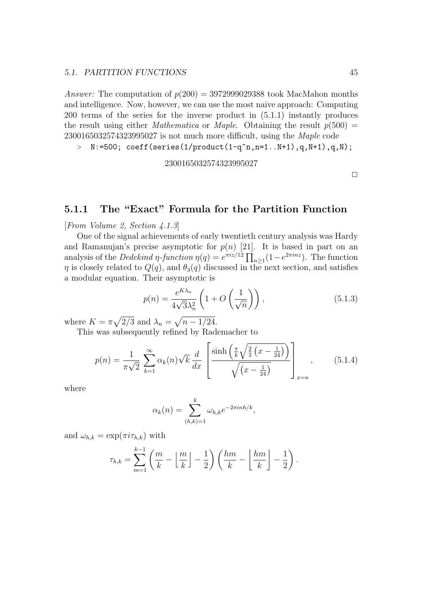Answer: The computation of  $p(200) = 3972999029388$  took MacMahon months and intelligence. Now, however, we can use the most naive approach: Computing 200 terms of the series for the inverse product in (5.1.1) instantly produces the result using either *Mathematica* or *Maple.* Obtaining the result  $p(500)$  = 2300165032574323995027 is not much more difficult, using the Maple code

 $> N := 500$ ; coeff(series(1/product(1-q^n,n=1..N+1),q,N+1),q,N);

### 2300165032574323995027

 $\Box$ 

## 5.1.1 The "Exact" Formula for the Partition Function

[From Volume 2, Section 4.1.3]

One of the signal achievements of early twentieth century analysis was Hardy and Ramanujan's precise asymptotic for  $p(n)$  [21]. It is based in part on an and Ramanujan's precise asymptotic for  $p(n)$  [21]. It is based in part on an analysis of the *Dedekind*  $\eta$ -function  $\eta(q) = e^{\pi i z/12} \prod_{n \geq 1} (1 - e^{2\pi i n z})$ . The function  $\eta$  is closely related to  $Q(q)$ , and  $\theta_3(q)$  discussed in the next section, and satisfies a modular equation. Their asymptotic is

$$
p(n) = \frac{e^{K\lambda_n}}{4\sqrt{3}\lambda_n^2} \left(1 + O\left(\frac{1}{\sqrt{n}}\right)\right),\tag{5.1.3}
$$

where  $K = \pi$ p  $2/3$  and  $\lambda_n =$  $n - 1/24$ .

This was subsequently refined by Rademacher to

$$
p(n) = \frac{1}{\pi\sqrt{2}} \sum_{k=1}^{\infty} \alpha_k(n) \sqrt{k} \frac{d}{dx} \left[ \frac{\sinh\left(\frac{\pi}{k}\sqrt{\frac{2}{3}\left(x - \frac{1}{24}\right)}\right)}{\sqrt{(x - \frac{1}{24})}} \right]_{x=n}, \quad (5.1.4)
$$

where

$$
\alpha_k(n) = \sum_{(h,k)=1}^k \omega_{h,k} e^{-2\pi i nh/k},
$$

and  $\omega_{h,k} = \exp(\pi i \tau_{h,k})$  with

$$
\tau_{h,k} = \sum_{m=1}^{k-1} \left( \frac{m}{k} - \left\lfloor \frac{m}{k} \right\rfloor - \frac{1}{2} \right) \left( \frac{hm}{k} - \left\lfloor \frac{hm}{k} \right\rfloor - \frac{1}{2} \right).
$$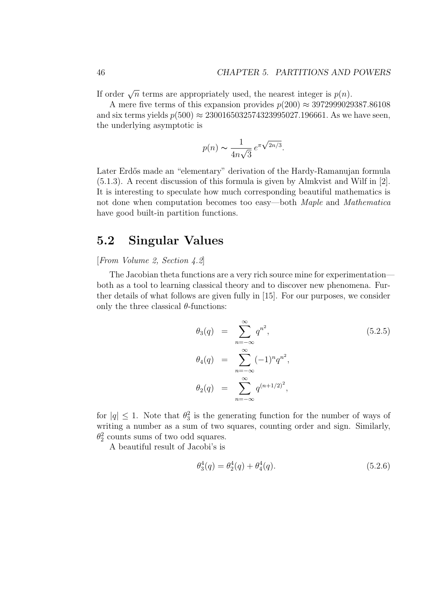If order  $\sqrt{n}$  terms are appropriately used, the nearest integer is  $p(n)$ .

A mere five terms of this expansion provides  $p(200) \approx 3972999029387.86108$ and six terms yields  $p(500) \approx 2300165032574323995027.196661$ . As we have seen, the underlying asymptotic is

$$
p(n) \sim \frac{1}{4n\sqrt{3}} e^{\pi \sqrt{2n/3}}.
$$

Later Erdős made an "elementary" derivation of the Hardy-Ramanujan formula (5.1.3). A recent discussion of this formula is given by Almkvist and Wilf in [2]. It is interesting to speculate how much corresponding beautiful mathematics is not done when computation becomes too easy—both Maple and Mathematica have good built-in partition functions.

## 5.2 Singular Values

#### [From Volume 2, Section 4.2]

The Jacobian theta functions are a very rich source mine for experimentation both as a tool to learning classical theory and to discover new phenomena. Further details of what follows are given fully in [15]. For our purposes, we consider only the three classical  $\theta$ -functions:

$$
\theta_3(q) = \sum_{n=-\infty}^{\infty} q^{n^2},
$$
\n
$$
\theta_4(q) = \sum_{n=-\infty}^{\infty} (-1)^n q^{n^2},
$$
\n
$$
\theta_2(q) = \sum_{n=-\infty}^{\infty} q^{(n+1/2)^2},
$$
\n(5.2.5)

for  $|q| \leq 1$ . Note that  $\theta_3^2$  is the generating function for the number of ways of writing a number as a sum of two squares, counting order and sign. Similarly,  $\theta_2^2$  counts sums of two odd squares.

A beautiful result of Jacobi's is

$$
\theta_3^4(q) = \theta_2^4(q) + \theta_4^4(q). \tag{5.2.6}
$$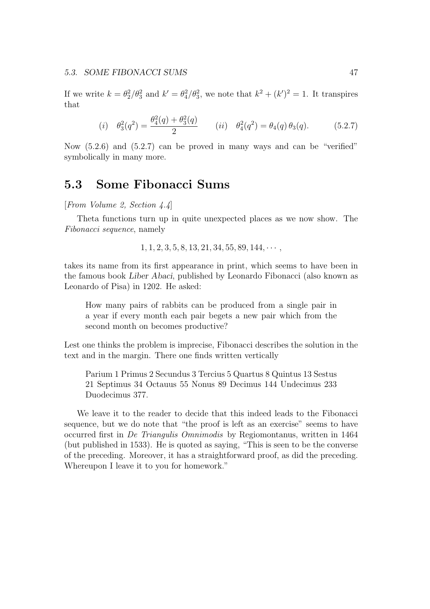If we write  $k = \frac{\theta_2^2}{\theta_3^2}$  and  $k' = \frac{\theta_4^2}{\theta_3^2}$ , we note that  $k^2 + (k')^2 = 1$ . It transpires that

(i) 
$$
\theta_3^2(q^2) = \frac{\theta_4^2(q) + \theta_3^2(q)}{2}
$$
 (ii)  $\theta_4^2(q^2) = \theta_4(q)\theta_3(q)$ . (5.2.7)

Now (5.2.6) and (5.2.7) can be proved in many ways and can be "verified" symbolically in many more.

## 5.3 Some Fibonacci Sums

[From Volume 2, Section 4.4]

Theta functions turn up in quite unexpected places as we now show. The Fibonacci sequence, namely

 $1, 1, 2, 3, 5, 8, 13, 21, 34, 55, 89, 144, \cdots$ 

takes its name from its first appearance in print, which seems to have been in the famous book Liber Abaci, published by Leonardo Fibonacci (also known as Leonardo of Pisa) in 1202. He asked:

How many pairs of rabbits can be produced from a single pair in a year if every month each pair begets a new pair which from the second month on becomes productive?

Lest one thinks the problem is imprecise, Fibonacci describes the solution in the text and in the margin. There one finds written vertically

Parium 1 Primus 2 Secundus 3 Tercius 5 Quartus 8 Quintus 13 Sestus 21 Septimus 34 Octauus 55 Nonus 89 Decimus 144 Undecimus 233 Duodecimus 377.

We leave it to the reader to decide that this indeed leads to the Fibonacci sequence, but we do note that "the proof is left as an exercise" seems to have occurred first in De Triangulis Omnimodis by Regiomontanus, written in 1464 (but published in 1533). He is quoted as saying, "This is seen to be the converse of the preceding. Moreover, it has a straightforward proof, as did the preceding. Whereupon I leave it to you for homework."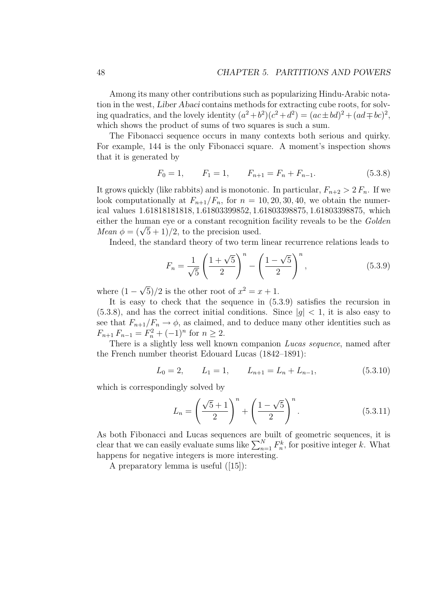Among its many other contributions such as popularizing Hindu-Arabic notation in the west, Liber Abaci contains methods for extracting cube roots, for solving quadratics, and the lovely identity  $(a^2+b^2)(c^2+d^2) = (ac \pm bd)^2 + (ad \mp bc)^2$ , which shows the product of sums of two squares is such a sum.

The Fibonacci sequence occurs in many contexts both serious and quirky. For example, 144 is the only Fibonacci square. A moment's inspection shows that it is generated by

$$
F_0 = 1, \qquad F_1 = 1, \qquad F_{n+1} = F_n + F_{n-1}.
$$
\n
$$
(5.3.8)
$$

It grows quickly (like rabbits) and is monotonic. In particular,  $F_{n+2} > 2 F_n$ . If we look computationally at  $F_{n+1}/F_n$ , for  $n = 10, 20, 30, 40$ , we obtain the numerical values 1.61818181818, 1.61803399852, 1.61803398875, 1.61803398875, which either the human eye or a constant recognition facility reveals to be the Golden either the numan eye or a constant recognition<br>  $Mean \phi = (\sqrt{5} + 1)/2$ , to the precision used.

Indeed, the standard theory of two term linear recurrence relations leads to

$$
F_n = \frac{1}{\sqrt{5}} \left( \frac{1 + \sqrt{5}}{2} \right)^n - \left( \frac{1 - \sqrt{5}}{2} \right)^n, \tag{5.3.9}
$$

where  $(1 -$ √  $\sqrt{5}/2$  is the other root of  $x^2 = x + 1$ .

It is easy to check that the sequence in (5.3.9) satisfies the recursion in  $(5.3.8)$ , and has the correct initial conditions. Since  $|q| < 1$ , it is also easy to see that  $F_{n+1}/F_n \to \phi$ , as claimed, and to deduce many other identities such as  $F_{n+1} F_{n-1} = F_n^2 + (-1)^n$  for  $n \ge 2$ .

There is a slightly less well known companion Lucas sequence, named after the French number theorist Edouard Lucas (1842–1891):

$$
L_0 = 2, \qquad L_1 = 1, \qquad L_{n+1} = L_n + L_{n-1}, \tag{5.3.10}
$$

which is correspondingly solved by

$$
L_n = \left(\frac{\sqrt{5} + 1}{2}\right)^n + \left(\frac{1 - \sqrt{5}}{2}\right)^n.
$$
 (5.3.11)

As both Fibonacci and Lucas sequences are built of geometric sequences, it is clear that we can easily evaluate sums like  $\sum_{n=1}^{N} F_n^k$ , for positive integer k. What happens for negative integers is more interesting.

A preparatory lemma is useful ([15]):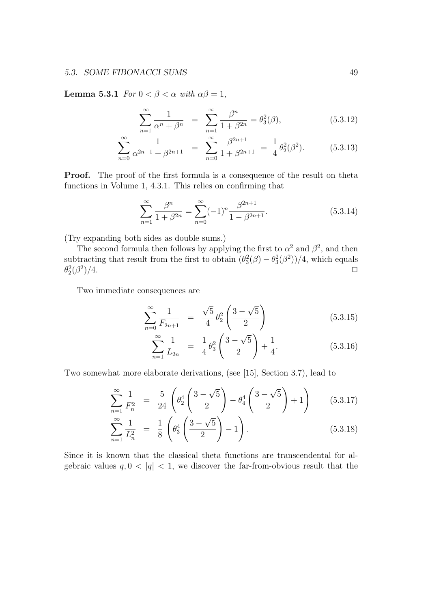Lemma 5.3.1  $For 0 < \beta < \alpha$  with  $\alpha\beta = 1$ ,

$$
\sum_{n=1}^{\infty} \frac{1}{\alpha^n + \beta^n} = \sum_{n=1}^{\infty} \frac{\beta^n}{1 + \beta^{2n}} = \theta_3^2(\beta),
$$
 (5.3.12)

$$
\sum_{n=0}^{\infty} \frac{1}{\alpha^{2n+1} + \beta^{2n+1}} = \sum_{n=0}^{\infty} \frac{\beta^{2n+1}}{1 + \beta^{2n+1}} = \frac{1}{4} \theta_2^2(\beta^2).
$$
 (5.3.13)

**Proof.** The proof of the first formula is a consequence of the result on theta functions in Volume 1, 4.3.1. This relies on confirming that

$$
\sum_{n=1}^{\infty} \frac{\beta^n}{1 + \beta^{2n}} = \sum_{n=0}^{\infty} (-1)^n \frac{\beta^{2n+1}}{1 - \beta^{2n+1}}.
$$
 (5.3.14)

(Try expanding both sides as double sums.)

The second formula then follows by applying the first to  $\alpha^2$  and  $\beta^2$ , and then subtracting that result from the first to obtain  $(\theta_3^2(\beta) - \theta_3^2(\beta^2))/4$ , which equals  $\theta_2^2(\beta^2)$  $)/4.$ 

Two immediate consequences are

$$
\sum_{n=0}^{\infty} \frac{1}{F_{2n+1}} = \frac{\sqrt{5}}{4} \theta_2^2 \left( \frac{3 - \sqrt{5}}{2} \right)
$$
(5.3.15)

$$
\sum_{n=1}^{\infty} \frac{1}{L_{2n}} = \frac{1}{4} \theta_3^2 \left( \frac{3 - \sqrt{5}}{2} \right) + \frac{1}{4}.
$$
 (5.3.16)

Two somewhat more elaborate derivations, (see [15], Section 3.7), lead to

$$
\sum_{n=1}^{\infty} \frac{1}{F_n^2} = \frac{5}{24} \left( \theta_2^4 \left( \frac{3 - \sqrt{5}}{2} \right) - \theta_4^4 \left( \frac{3 - \sqrt{5}}{2} \right) + 1 \right) \tag{5.3.17}
$$

$$
\sum_{n=1}^{\infty} \frac{1}{L_n^2} = \frac{1}{8} \left( \theta_3^4 \left( \frac{3 - \sqrt{5}}{2} \right) - 1 \right). \tag{5.3.18}
$$

Since it is known that the classical theta functions are transcendental for algebraic values  $q, 0 < |q| < 1$ , we discover the far-from-obvious result that the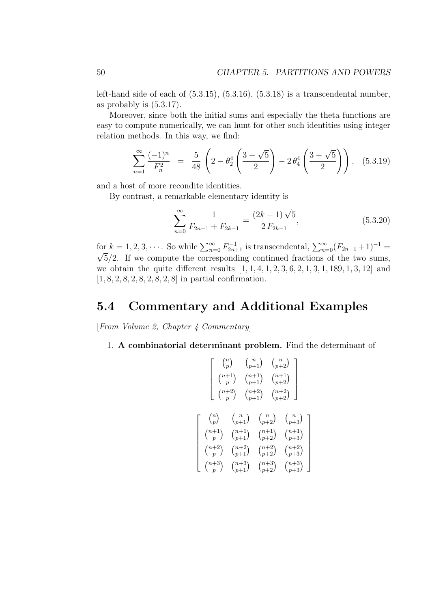left-hand side of each of  $(5.3.15)$ ,  $(5.3.16)$ ,  $(5.3.18)$  is a transcendental number, as probably is (5.3.17).

Moreover, since both the initial sums and especially the theta functions are easy to compute numerically, we can hunt for other such identities using integer relation methods. In this way, we find:

$$
\sum_{n=1}^{\infty} \frac{(-1)^n}{F_n^2} = \frac{5}{48} \left( 2 - \theta_2^4 \left( \frac{3 - \sqrt{5}}{2} \right) - 2 \theta_4^4 \left( \frac{3 - \sqrt{5}}{2} \right) \right), \quad (5.3.19)
$$

and a host of more recondite identities.

By contrast, a remarkable elementary identity is

$$
\sum_{n=0}^{\infty} \frac{1}{F_{2n+1} + F_{2k-1}} = \frac{(2k-1)\sqrt{5}}{2 F_{2k-1}},
$$
\n(5.3.20)

for  $k = 1, 2, 3, \cdots$ . So while  $\sum_{n=0}^{\infty} F_{2n+1}^{-1}$  is transcendental,  $\sum_{n=0}^{\infty} (F_{2n+1} + 1)^{-1} =$  $\sqrt{5}/2$ . If we compute the corresponding continued fractions of the two sums, we obtain the quite different results  $[1, 1, 4, 1, 2, 3, 6, 2, 1, 3, 1, 189, 1, 3, 12]$  and  $[1, 8, 2, 8, 2, 8, 2, 8, 2, 8]$  in partial confirmation.

## 5.4 Commentary and Additional Examples

[From Volume 2, Chapter 4 Commentary]

### 1. A combinatorial determinant problem. Find the determinant of

$$
\begin{bmatrix}\n\binom{n}{p} & \binom{n}{p+1} & \binom{n}{p+2} \\
\binom{n+1}{p} & \binom{n+1}{p+1} & \binom{n+1}{p+2} \\
\binom{n+2}{p} & \binom{n+2}{p+1} & \binom{n+2}{p+2}\n\end{bmatrix}
$$
\n
$$
\begin{bmatrix}\n\binom{n}{p} & \binom{n}{p+1} & \binom{n}{p+2} & \binom{n}{p+3} \\
\binom{n+1}{p} & \binom{n+1}{p+1} & \binom{n+1}{p+2} & \binom{n+1}{p+3} \\
\binom{n+2}{p} & \binom{n+2}{p+1} & \binom{n+2}{p+2} & \binom{n+2}{p+3} \\
\binom{n+3}{p} & \binom{n+3}{p+1} & \binom{n+3}{p+2} & \binom{n+3}{p+3}\n\end{bmatrix}
$$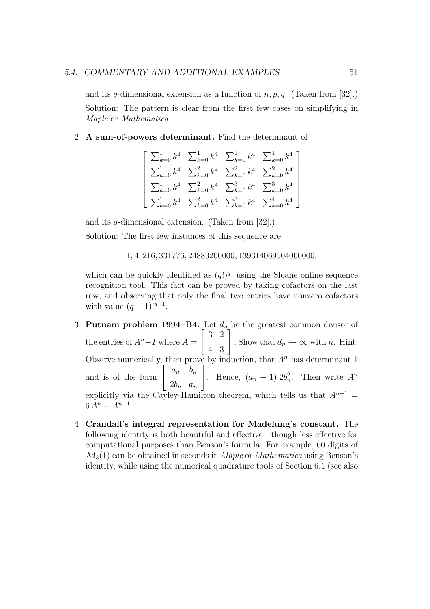and its q-dimensional extension as a function of  $n, p, q$ . (Taken from [32].) Solution: The pattern is clear from the first few cases on simplifying in Maple or Mathematica.

2. A sum-of-powers determinant. Find the determinant of

$$
\begin{bmatrix}\n\sum_{k=0}^{1} k^{4} & \sum_{k=0}^{1} k^{4} & \sum_{k=0}^{1} k^{4} & \sum_{k=0}^{1} k^{4} \\
\sum_{k=0}^{1} k^{4} & \sum_{k=0}^{2} k^{4} & \sum_{k=0}^{2} k^{4} & \sum_{k=0}^{2} k^{4} \\
\sum_{k=0}^{1} k^{4} & \sum_{k=0}^{2} k^{4} & \sum_{k=0}^{3} k^{4} & \sum_{k=0}^{3} k^{4} \\
\sum_{k=0}^{1} k^{4} & \sum_{k=0}^{2} k^{4} & \sum_{k=0}^{3} k^{4} & \sum_{k=0}^{4} k^{4}\n\end{bmatrix}
$$

and its q-dimensional extension. (Taken from [32].)

Solution: The first few instances of this sequence are

1, 4, 216, 331776, 24883200000, 139314069504000000,

which can be quickly identified as  $(q!)^q$ , using the Sloane online sequence recognition tool. This fact can be proved by taking cofactors on the last row, and observing that only the final two entries have nonzero cofactors with value  $(q-1)!^{q-1}$ .

- 3. Putnam problem 1994–B4. Let  $d_n$  be the greatest common divisor of the entries of  $A<sup>n</sup> - I$  where  $A =$ .<br>-3 2  $\begin{bmatrix} 1 & 1 \\ 3 & 2 \\ 4 & 3 \end{bmatrix}$ . Show that  $d_n \to \infty$  with n. Hint: Observe numerically, then prove by induction, that  $A^n$  has determinant 1 Observe numerically,  $\begin{bmatrix} 1 \end{bmatrix}$ <br>and is of the form  $a_n$   $b_n$  $2b_n$   $a_n$ Hence,  $(a_n - 1)|2b_n^2$ . Then write  $A^n$ explicitly via the Cayley-Hamilton theorem, which tells us that  $A^{n+1}$  =  $6A^{n}-A^{n-1}.$
- 4. Crandall's integral representation for Madelung's constant. The following identity is both beautiful and effective—though less effective for computational purposes than Benson's formula. For example, 60 digits of  $\mathcal{M}_3(1)$  can be obtained in seconds in *Maple* or *Mathematica* using Benson's identity, while using the numerical quadrature tools of Section 6.1 (see also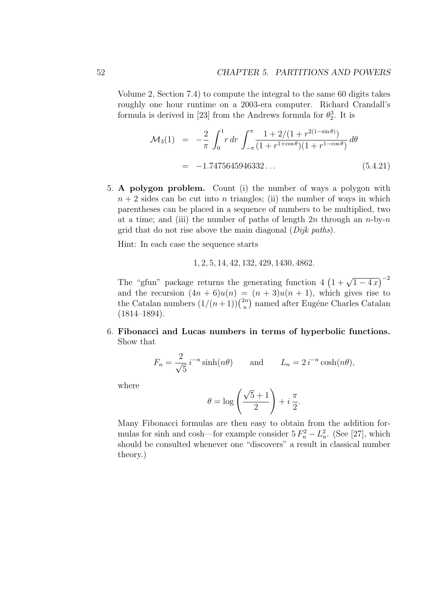Volume 2, Section 7.4) to compute the integral to the same 60 digits takes roughly one hour runtime on a 2003-era computer. Richard Crandall's formula is derived in [23] from the Andrews formula for  $\theta_2^3$ . It is

$$
\mathcal{M}_3(1) = -\frac{2}{\pi} \int_0^1 r \, dr \int_{-\pi}^{\pi} \frac{1 + 2/(1 + r^{2(1 - \sin \theta)})}{(1 + r^{1 + \cos \theta})(1 + r^{1 - \cos \theta})} \, d\theta
$$

$$
= -1.7475645946332\ldots \tag{5.4.21}
$$

5. A polygon problem. Count (i) the number of ways a polygon with  $n + 2$  sides can be cut into n triangles; (ii) the number of ways in which parentheses can be placed in a sequence of numbers to be multiplied, two at a time; and (iii) the number of paths of length  $2n$  through an n-by-n grid that do not rise above the main diagonal  $(Dijk \; paths)$ .

Hint: In each case the sequence starts

$$
1, 2, 5, 14, 42, 132, 429, 1430, 4862.
$$

The "gfun" package returns the generating function  $4(1+\sqrt{1-4x})^{-2}$ and the recursion  $(4n + 6)u(n) = (n + 3)u(n + 1)$ , which gives rise to and the recursion  $(4n + 6)u(n) =$ <br>the Catalan numbers  $(1/(n+1))\binom{2n}{n}$  $\binom{2n}{n}$  named after Eugéne Charles Catalan  $(1814–1894)$ .

6. Fibonacci and Lucas numbers in terms of hyperbolic functions. Show that

$$
F_n = \frac{2}{\sqrt{5}} i^{-n} \sinh(n\theta) \quad \text{and} \quad L_n = 2 i^{-n} \cosh(n\theta),
$$

where

$$
\theta = \log\left(\frac{\sqrt{5} + 1}{2}\right) + i\frac{\pi}{2}.
$$

Many Fibonacci formulas are then easy to obtain from the addition formulas for sinh and cosh—for example consider  $5 F_n^2 - L_n^2$ . (See [27], which should be consulted whenever one "discovers" a result in classical number theory.)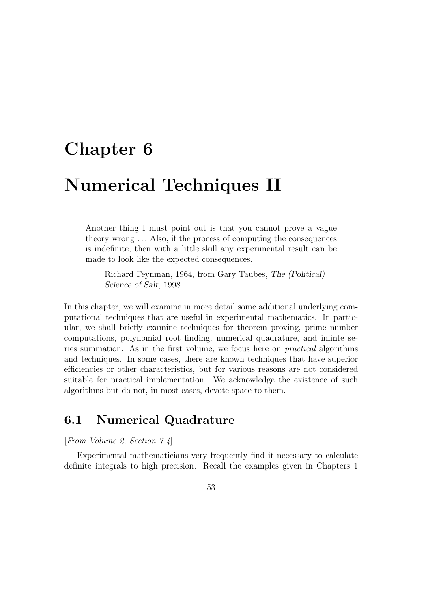# Chapter 6

# Numerical Techniques II

Another thing I must point out is that you cannot prove a vague theory wrong  $\dots$  Also, if the process of computing the consequences is indefinite, then with a little skill any experimental result can be made to look like the expected consequences.

Richard Feynman, 1964, from Gary Taubes, The (Political) Science of Salt, 1998

In this chapter, we will examine in more detail some additional underlying computational techniques that are useful in experimental mathematics. In particular, we shall briefly examine techniques for theorem proving, prime number computations, polynomial root finding, numerical quadrature, and infinte series summation. As in the first volume, we focus here on practical algorithms and techniques. In some cases, there are known techniques that have superior efficiencies or other characteristics, but for various reasons are not considered suitable for practical implementation. We acknowledge the existence of such algorithms but do not, in most cases, devote space to them.

## 6.1 Numerical Quadrature

[From Volume 2, Section 7.4]

Experimental mathematicians very frequently find it necessary to calculate definite integrals to high precision. Recall the examples given in Chapters 1

### 53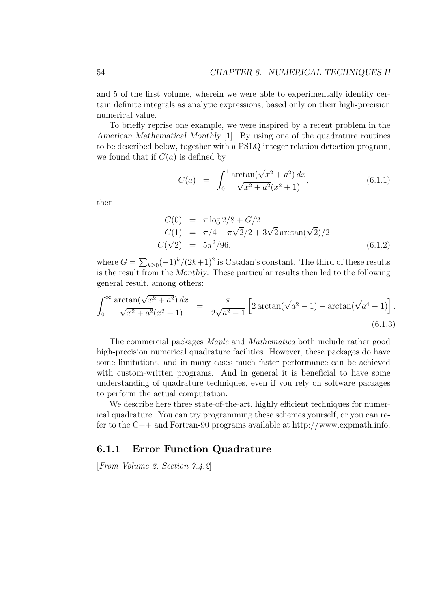and 5 of the first volume, wherein we were able to experimentally identify certain definite integrals as analytic expressions, based only on their high-precision numerical value.

To briefly reprise one example, we were inspired by a recent problem in the American Mathematical Monthly [1]. By using one of the quadrature routines to be described below, together with a PSLQ integer relation detection program, we found that if  $C(a)$  is defined by

$$
C(a) = \int_0^1 \frac{\arctan(\sqrt{x^2 + a^2}) dx}{\sqrt{x^2 + a^2}(x^2 + 1)},
$$
\n(6.1.1)

then

$$
C(0) = \pi \log 2/8 + G/2
$$
  
\n
$$
C(1) = \pi/4 - \pi\sqrt{2}/2 + 3\sqrt{2}\arctan(\sqrt{2})/2
$$
  
\n
$$
C(\sqrt{2}) = 5\pi^2/96,
$$
\n(6.1.2)

where  $G =$  $\overline{ }$  $(k_0)(-1)^k/(2k+1)^2$  is Catalan's constant. The third of these results is the result from the Monthly. These particular results then led to the following general result, among others:

$$
\int_0^\infty \frac{\arctan(\sqrt{x^2 + a^2}) dx}{\sqrt{x^2 + a^2}(x^2 + 1)} = \frac{\pi}{2\sqrt{a^2 - 1}} \left[ 2\arctan(\sqrt{a^2 - 1}) - \arctan(\sqrt{a^4 - 1}) \right].
$$
\n(6.1.3)

The commercial packages Maple and Mathematica both include rather good high-precision numerical quadrature facilities. However, these packages do have some limitations, and in many cases much faster performance can be achieved with custom-written programs. And in general it is beneficial to have some understanding of quadrature techniques, even if you rely on software packages to perform the actual computation.

We describe here three state-of-the-art, highly efficient techniques for numerical quadrature. You can try programming these schemes yourself, or you can refer to the C++ and Fortran-90 programs available at http://www.expmath.info.

## 6.1.1 Error Function Quadrature

[From Volume 2, Section 7.4.2]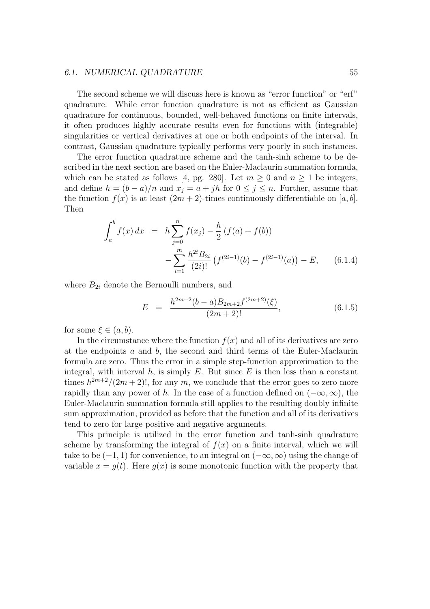#### 6.1. NUMERICAL QUADRATURE 55

The second scheme we will discuss here is known as "error function" or "erf" quadrature. While error function quadrature is not as efficient as Gaussian quadrature for continuous, bounded, well-behaved functions on finite intervals, it often produces highly accurate results even for functions with (integrable) singularities or vertical derivatives at one or both endpoints of the interval. In contrast, Gaussian quadrature typically performs very poorly in such instances.

The error function quadrature scheme and the tanh-sinh scheme to be described in the next section are based on the Euler-Maclaurin summation formula, which can be stated as follows [4, pg. 280]. Let  $m \geq 0$  and  $n \geq 1$  be integers, and define  $h = (b - a)/n$  and  $x<sub>j</sub> = a + jh$  for  $0 \le j \le n$ . Further, assume that the function  $f(x)$  is at least  $(2m + 2)$ -times continuously differentiable on [a, b]. Then

$$
\int_{a}^{b} f(x) dx = h \sum_{j=0}^{n} f(x_{j}) - \frac{h}{2} (f(a) + f(b))
$$

$$
- \sum_{i=1}^{m} \frac{h^{2i} B_{2i}}{(2i)!} (f^{(2i-1)}(b) - f^{(2i-1)}(a)) - E, \qquad (6.1.4)
$$

where  $B_{2i}$  denote the Bernoulli numbers, and

$$
E = \frac{h^{2m+2}(b-a)B_{2m+2}f^{(2m+2)}(\xi)}{(2m+2)!},
$$
\n(6.1.5)

for some  $\xi \in (a, b)$ .

In the circumstance where the function  $f(x)$  and all of its derivatives are zero at the endpoints a and b, the second and third terms of the Euler-Maclaurin formula are zero. Thus the error in a simple step-function approximation to the integral, with interval  $h$ , is simply  $E$ . But since  $E$  is then less than a constant times  $h^{2m+2}/(2m+2)!$ , for any m, we conclude that the error goes to zero more rapidly than any power of h. In the case of a function defined on  $(-\infty,\infty)$ , the Euler-Maclaurin summation formula still applies to the resulting doubly infinite sum approximation, provided as before that the function and all of its derivatives tend to zero for large positive and negative arguments.

This principle is utilized in the error function and tanh-sinh quadrature scheme by transforming the integral of  $f(x)$  on a finite interval, which we will take to be  $(-1, 1)$  for convenience, to an integral on  $(-\infty, \infty)$  using the change of variable  $x = q(t)$ . Here  $q(x)$  is some monotonic function with the property that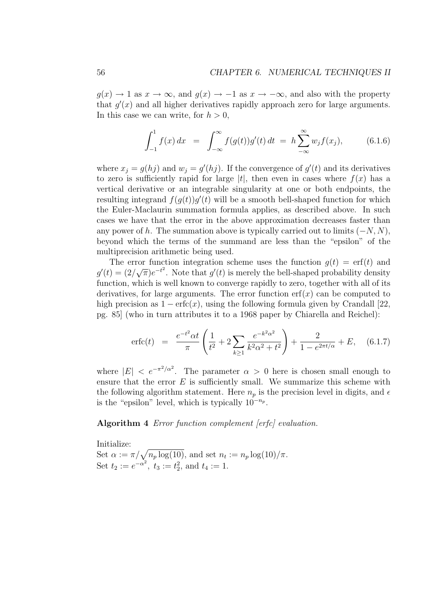$g(x) \to 1$  as  $x \to \infty$ , and  $g(x) \to -1$  as  $x \to -\infty$ , and also with the property that  $g'(x)$  and all higher derivatives rapidly approach zero for large arguments. In this case we can write, for  $h > 0$ ,

$$
\int_{-1}^{1} f(x) dx = \int_{-\infty}^{\infty} f(g(t))g'(t) dt = h \sum_{-\infty}^{\infty} w_j f(x_j), \quad (6.1.6)
$$

where  $x_j = g(hj)$  and  $w_j = g'(hj)$ . If the convergence of  $g'(t)$  and its derivatives to zero is sufficiently rapid for large |t|, then even in cases where  $f(x)$  has a vertical derivative or an integrable singularity at one or both endpoints, the resulting integrand  $f(g(t))g'(t)$  will be a smooth bell-shaped function for which the Euler-Maclaurin summation formula applies, as described above. In such cases we have that the error in the above approximation decreases faster than any power of h. The summation above is typically carried out to limits  $(-N, N)$ , beyond which the terms of the summand are less than the "epsilon" of the multiprecision arithmetic being used.

The error function integration scheme uses the function  $q(t) = erf(t)$  and  $g'(t) = (2)$ √  $\overline{\pi}$ ) $e^{-t^2}$ . Note that  $g'(t)$  is merely the bell-shaped probability density function, which is well known to converge rapidly to zero, together with all of its derivatives, for large arguments. The error function  $erf(x)$  can be computed to high precision as  $1 - \text{erfc}(x)$ , using the following formula given by Crandall [22, pg. 85] (who in turn attributes it to a 1968 paper by Chiarella and Reichel):

$$
\text{erfc}(t) = \frac{e^{-t^2} \alpha t}{\pi} \left( \frac{1}{t^2} + 2 \sum_{k \ge 1} \frac{e^{-k^2 \alpha^2}}{k^2 \alpha^2 + t^2} \right) + \frac{2}{1 - e^{2\pi t/\alpha}} + E, \quad (6.1.7)
$$

where  $|E| < e^{-\pi^2/\alpha^2}$ . The parameter  $\alpha > 0$  here is chosen small enough to ensure that the error  $E$  is sufficiently small. We summarize this scheme with the following algorithm statement. Here  $n_p$  is the precision level in digits, and  $\epsilon$ is the "epsilon" level, which is typically  $10^{-n_p}$ .

#### Algorithm 4 Error function complement [erfc] evaluation.

Initialize: Initialize:<br>Set  $\alpha := \pi/\sqrt{n_p \log(10)}$ , and set  $n_t := n_p \log(10)/\pi$ . Set  $t_2 := e^{-\alpha^2}$ ,  $t_3 := t_2^2$ , and  $t_4 := 1$ .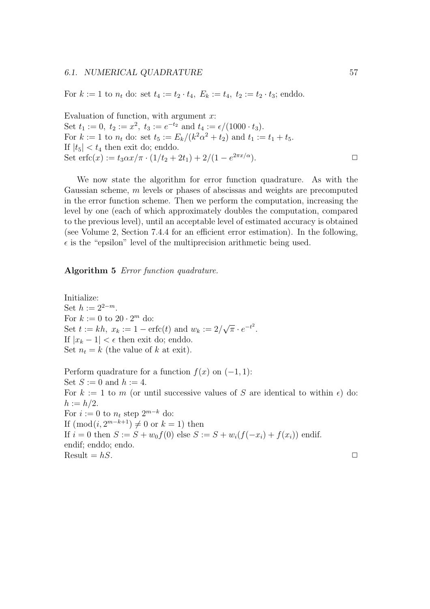For  $k := 1$  to  $n_t$  do: set  $t_4 := t_2 \cdot t_4$ ,  $E_k := t_4$ ,  $t_2 := t_2 \cdot t_3$ ; enddo.

Evaluation of function, with argument  $x$ : Set  $t_1 := 0, t_2 := x^2, t_3 := e^{-t_2}$  and  $t_4 := \epsilon/(1000 \cdot t_3)$ . For  $k := 1$  to  $n_t$  do: set  $t_5 := E_k/(k^2 \alpha^2 + t_2)$  and  $t_1 := t_1 + t_5$ . If  $|t_5| < t_4$  then exit do; enddo. Set erfc(x) :=  $t_3 \alpha x/\pi \cdot (1/t_2 + 2t_1) + 2/(1 - e^{2\pi x/\alpha})$ .

We now state the algorithm for error function quadrature. As with the Gaussian scheme, m levels or phases of abscissas and weights are precomputed in the error function scheme. Then we perform the computation, increasing the level by one (each of which approximately doubles the computation, compared to the previous level), until an acceptable level of estimated accuracy is obtained (see Volume 2, Section 7.4.4 for an efficient error estimation). In the following,  $\epsilon$  is the "epsilon" level of the multiprecision arithmetic being used.

#### Algorithm 5 *Error function quadrature*.

Initialize: Set  $h := 2^{2-m}$ . For  $k := 0$  to  $20 \cdot 2^m$  do: Set  $t := kh$ ,  $x_k := 1 - \text{erfc}(t)$  and  $w_k := 2/k$ √  $\overline{\pi} \cdot e^{-t^2}.$ If  $|x_k - 1| < \epsilon$  then exit do; enddo. Set  $n_t = k$  (the value of k at exit).

Perform quadrature for a function  $f(x)$  on  $(-1, 1)$ : Set  $S := 0$  and  $h := 4$ . For  $k := 1$  to m (or until successive values of S are identical to within  $\epsilon$ ) do:  $h := h/2.$ For  $i := 0$  to  $n_t$  step  $2^{m-k}$  do: If  $(\text{mod}(i, 2^{m-k+1}) \neq 0 \text{ or } k = 1)$  then If  $i = 0$  then  $S := S + w_0 f(0)$  else  $S := S + w_i(f(-x_i) + f(x_i))$  endif. endif; enddo; endo. Result  $= hS$ .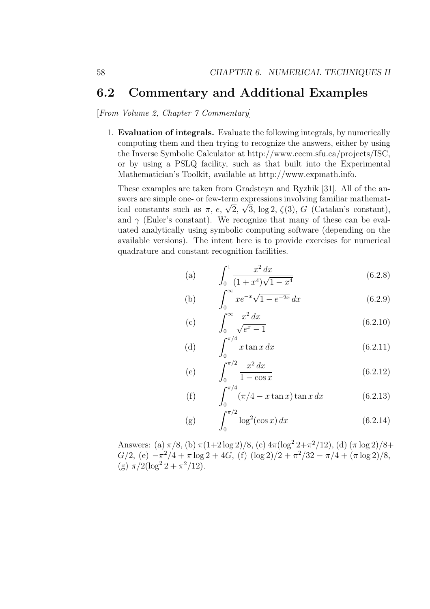## 6.2 Commentary and Additional Examples

[From Volume 2, Chapter 7 Commentary]

1. Evaluation of integrals. Evaluate the following integrals, by numerically computing them and then trying to recognize the answers, either by using the Inverse Symbolic Calculator at http://www.cecm.sfu.ca/projects/ISC, or by using a PSLQ facility, such as that built into the Experimental Mathematician's Toolkit, available at http://www.expmath.info.

These examples are taken from Gradsteyn and Ryzhik [31]. All of the answers are simple one- or few-term expressions involving familiar mathematswers are simple one- or rew-term expressions involving ramiliar mathematical constants such as  $\pi$ ,  $e$ ,  $\sqrt{2}$ ,  $\sqrt{3}$ ,  $\log 2$ ,  $\zeta(3)$ ,  $G$  (Catalan's constant), and  $\gamma$  (Euler's constant). We recognize that many of these can be evaluated analytically using symbolic computing software (depending on the available versions). The intent here is to provide exercises for numerical quadrature and constant recognition facilities.

(a) 
$$
\int_0^1 \frac{x^2 dx}{(1+x^4)\sqrt{1-x^4}}
$$
 (6.2.8)

(b) 
$$
\int_0^\infty x e^{-x} \sqrt{1 - e^{-2x}} dx
$$
 (6.2.9)

(c) 
$$
\int_0^\infty \frac{x^2 dx}{\sqrt{e^x - 1}}
$$
 (6.2.10)

(d) 
$$
\int_0^{\pi/4} x \tan x \, dx
$$
 (6.2.11)

(e) 
$$
\int_0^{\pi/2} \frac{x^2 dx}{1 - \cos x}
$$
 (6.2.12)

(f) 
$$
\int_0^{\pi/4} (\pi/4 - x \tan x) \tan x \, dx
$$
 (6.2.13)

(g) 
$$
\int_0^{\pi/2} \log^2(\cos x) dx
$$
 (6.2.14)

Answers: (a)  $\pi/8$ , (b)  $\pi(1+2\log 2)/8$ , (c)  $4\pi(\log^2 2+\pi^2/12)$ , (d)  $(\pi \log 2)/8+$ G/2, (e)  $-\pi^2/4 + \pi \log 2 + 4G$ , (f)  $(\log 2)/2 + \pi^2/32 - \pi/4 + (\pi \log 2)/8$ , (g)  $\pi/2(\log^2 2 + \pi^2/12)$ .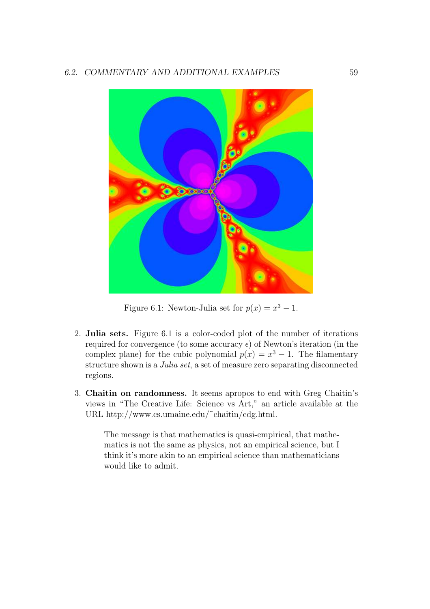

Figure 6.1: Newton-Julia set for  $p(x) = x^3 - 1$ .

- 2. Julia sets. Figure 6.1 is a color-coded plot of the number of iterations required for convergence (to some accuracy  $\epsilon$ ) of Newton's iteration (in the complex plane) for the cubic polynomial  $p(x) = x^3 - 1$ . The filamentary structure shown is a Julia set, a set of measure zero separating disconnected regions.
- 3. Chaitin on randomness. It seems apropos to end with Greg Chaitin's views in "The Creative Life: Science vs Art," an article available at the URL http://www.cs.umaine.edu/˜chaitin/cdg.html.

The message is that mathematics is quasi-empirical, that mathematics is not the same as physics, not an empirical science, but I think it's more akin to an empirical science than mathematicians would like to admit.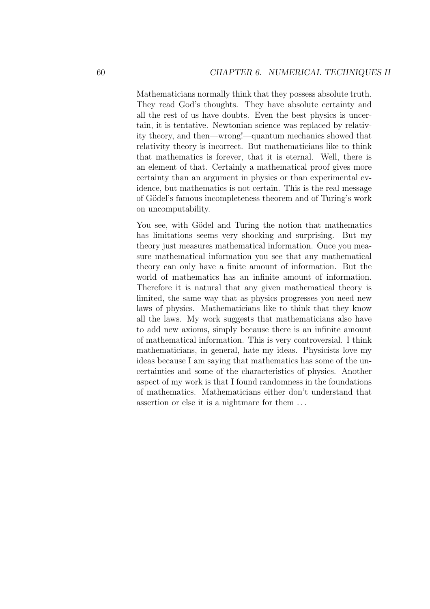Mathematicians normally think that they possess absolute truth. They read God's thoughts. They have absolute certainty and all the rest of us have doubts. Even the best physics is uncertain, it is tentative. Newtonian science was replaced by relativity theory, and then—wrong!—quantum mechanics showed that relativity theory is incorrect. But mathematicians like to think that mathematics is forever, that it is eternal. Well, there is an element of that. Certainly a mathematical proof gives more certainty than an argument in physics or than experimental evidence, but mathematics is not certain. This is the real message of Gödel's famous incompleteness theorem and of Turing's work on uncomputability.

You see, with Gödel and Turing the notion that mathematics has limitations seems very shocking and surprising. But my theory just measures mathematical information. Once you measure mathematical information you see that any mathematical theory can only have a finite amount of information. But the world of mathematics has an infinite amount of information. Therefore it is natural that any given mathematical theory is limited, the same way that as physics progresses you need new laws of physics. Mathematicians like to think that they know all the laws. My work suggests that mathematicians also have to add new axioms, simply because there is an infinite amount of mathematical information. This is very controversial. I think mathematicians, in general, hate my ideas. Physicists love my ideas because I am saying that mathematics has some of the uncertainties and some of the characteristics of physics. Another aspect of my work is that I found randomness in the foundations of mathematics. Mathematicians either don't understand that assertion or else it is a nightmare for them . . .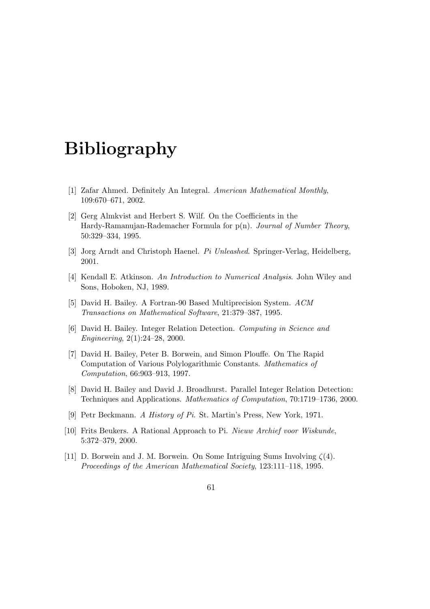# Bibliography

- [1] Zafar Ahmed. Definitely An Integral. American Mathematical Monthly, 109:670–671, 2002.
- [2] Gerg Almkvist and Herbert S. Wilf. On the Coefficients in the Hardy-Ramanujan-Rademacher Formula for p(n). Journal of Number Theory, 50:329–334, 1995.
- [3] Jorg Arndt and Christoph Haenel. Pi Unleashed. Springer-Verlag, Heidelberg, 2001.
- [4] Kendall E. Atkinson. An Introduction to Numerical Analysis. John Wiley and Sons, Hoboken, NJ, 1989.
- [5] David H. Bailey. A Fortran-90 Based Multiprecision System. ACM Transactions on Mathematical Software, 21:379–387, 1995.
- [6] David H. Bailey. Integer Relation Detection. Computing in Science and Engineering, 2(1):24–28, 2000.
- [7] David H. Bailey, Peter B. Borwein, and Simon Plouffe. On The Rapid Computation of Various Polylogarithmic Constants. Mathematics of Computation, 66:903–913, 1997.
- [8] David H. Bailey and David J. Broadhurst. Parallel Integer Relation Detection: Techniques and Applications. Mathematics of Computation, 70:1719–1736, 2000.
- [9] Petr Beckmann. A History of Pi. St. Martin's Press, New York, 1971.
- [10] Frits Beukers. A Rational Approach to Pi. Nieuw Archief voor Wiskunde, 5:372–379, 2000.
- [11] D. Borwein and J. M. Borwein. On Some Intriguing Sums Involving  $\zeta(4)$ . Proceedings of the American Mathematical Society, 123:111–118, 1995.
	- 61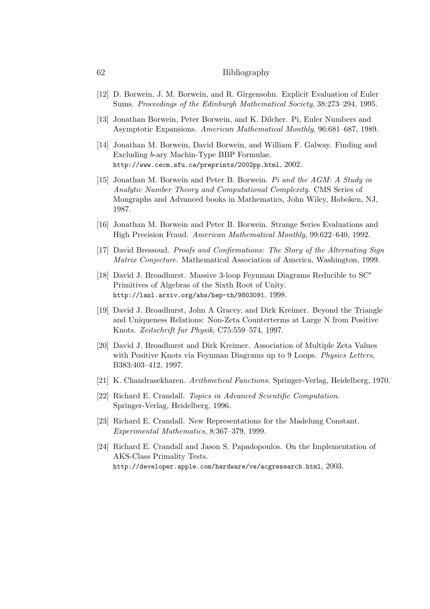#### 62 Bibliography

- [12] D. Borwein, J. M. Borwein, and R. Girgensohn. Explicit Evaluation of Euler Sums. Proceedings of the Edinburgh Mathematical Society, 38:273–294, 1995.
- [13] Jonathan Borwein, Peter Borwein, and K. Dilcher. Pi, Euler Numbers and Asymptotic Expansions. American Mathematical Monthly, 96:681–687, 1989.
- [14] Jonathan M. Borwein, David Borwein, and William F. Galway. Finding and Excluding b-ary Machin-Type BBP Formulae. http://www.cecm.sfu.ca/preprints/2002pp.html, 2002.
- [15] Jonathan M. Borwein and Peter B. Borwein. Pi and the AGM: A Study in Analytic Number Theory and Computational Complexity. CMS Series of Mongraphs and Advanced books in Mathematics, John Wiley, Hoboken, NJ, 1987.
- [16] Jonathan M. Borwein and Peter B. Borwein. Strange Series Evaluations and High Precision Fraud. American Mathematical Monthly, 99:622–640, 1992.
- [17] David Bressoud. Proofs and Confirmations: The Story of the Alternating Sign Matrix Conjecture. Mathematical Association of America, Washington, 1999.
- [18] David J. Broadhurst. Massive 3-loop Feynman Diagrams Reducible to SC<sup>∗</sup> Primitives of Algebras of the Sixth Root of Unity. http://lanl.arxiv.org/abs/hep-th/9803091, 1998.
- [19] David J. Broadhurst, John A Gracey, and Dirk Kreimer. Beyond the Triangle and Uniqueness Relations: Non-Zeta Counterterms at Large N from Positive Knots. Zeitschrift fur Physik, C75:559–574, 1997.
- [20] David J. Broadhurst and Dirk Kreimer. Association of Multiple Zeta Values with Positive Knots via Feynman Diagrams up to 9 Loops. *Physics Letters*, B383:403–412, 1997.
- [21] K. Chandrasekharen. Arithmetical Functions. Springer-Verlag, Heidelberg, 1970.
- [22] Richard E. Crandall. Topics in Advanced Scientific Computation. Springer-Verlag, Heidelberg, 1996.
- [23] Richard E. Crandall. New Representations for the Madelung Constant. Experimental Mathematics, 8:367–379, 1999.
- [24] Richard E. Crandall and Jason S. Papadopoulos. On the Implementation of AKS-Class Primality Tests. http://developer.apple.com/hardware/ve/acgresearch.html, 2003.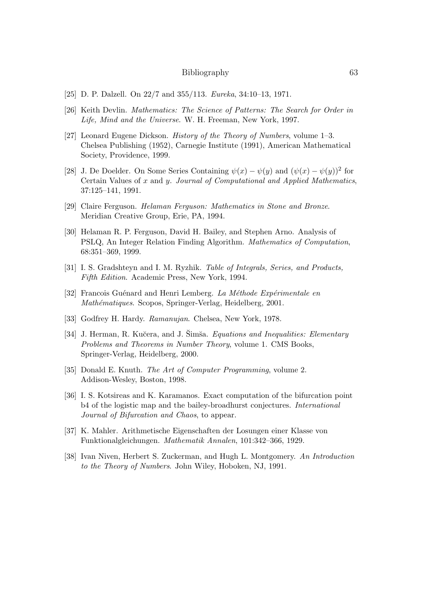#### Bibliography 63

- [25] D. P. Dalzell. On 22/7 and 355/113. Eureka, 34:10–13, 1971.
- [26] Keith Devlin. Mathematics: The Science of Patterns: The Search for Order in Life, Mind and the Universe. W. H. Freeman, New York, 1997.
- [27] Leonard Eugene Dickson. History of the Theory of Numbers, volume 1–3. Chelsea Publishing (1952), Carnegie Institute (1991), American Mathematical Society, Providence, 1999.
- [28] J. De Doelder. On Some Series Containing  $\psi(x) \psi(y)$  and  $(\psi(x) \psi(y))^2$  for Certain Values of x and y. Journal of Computational and Applied Mathematics, 37:125–141, 1991.
- [29] Claire Ferguson. Helaman Ferguson: Mathematics in Stone and Bronze. Meridian Creative Group, Erie, PA, 1994.
- [30] Helaman R. P. Ferguson, David H. Bailey, and Stephen Arno. Analysis of PSLQ, An Integer Relation Finding Algorithm. Mathematics of Computation, 68:351–369, 1999.
- [31] I. S. Gradshteyn and I. M. Ryzhik. Table of Integrals, Series, and Products, Fifth Edition. Academic Press, New York, 1994.
- [32] Francois Guénard and Henri Lemberg. La Méthode Expérimentale en Mathématiques. Scopos, Springer-Verlag, Heidelberg, 2001.
- [33] Godfrey H. Hardy. Ramanujan. Chelsea, New York, 1978.
- [34] J. Herman, R. Kučera, and J. Šimša. Equations and Inequalities: Elementary Problems and Theorems in Number Theory, volume 1. CMS Books, Springer-Verlag, Heidelberg, 2000.
- [35] Donald E. Knuth. The Art of Computer Programming, volume 2. Addison-Wesley, Boston, 1998.
- [36] I. S. Kotsireas and K. Karamanos. Exact computation of the bifurcation point b4 of the logistic map and the bailey-broadhurst conjectures. International Journal of Bifurcation and Chaos, to appear.
- [37] K. Mahler. Arithmetische Eigenschaften der Losungen einer Klasse von Funktionalgleichungen. Mathematik Annalen, 101:342–366, 1929.
- [38] Ivan Niven, Herbert S. Zuckerman, and Hugh L. Montgomery. An Introduction to the Theory of Numbers. John Wiley, Hoboken, NJ, 1991.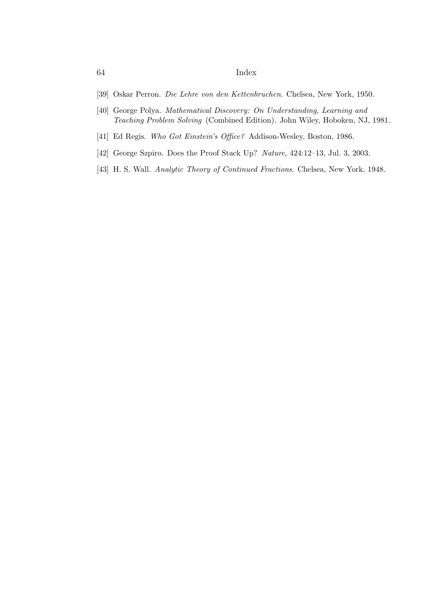### 64 Index

- [39] Oskar Perron. Die Lehre von den Kettenbruchen. Chelsea, New York, 1950.
- [40] George Polya. Mathematical Discovery: On Understanding, Learning and Teaching Problem Solving (Combined Edition). John Wiley, Hoboken, NJ, 1981.
- [41] Ed Regis. Who Got Einstein's Office? Addison-Wesley, Boston, 1986.
- [42] George Szpiro. Does the Proof Stack Up? Nature, 424:12–13, Jul. 3, 2003.
- [43] H. S. Wall. Analytic Theory of Continued Fractions. Chelsea, New York, 1948.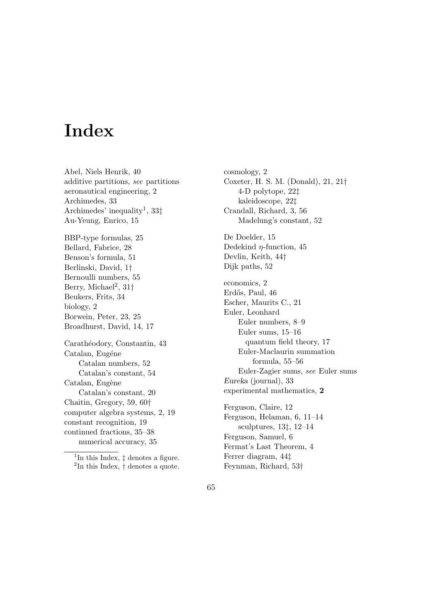# Index

Abel, Niels Henrik, 40 additive partitions, see partitions aeronautical engineering, 2 Archimedes, 33 Archimedes' inequality<sup>1</sup>,  $33\ddagger$ Au-Yeung, Enrico, 15

BBP-type formulas, 25 Bellard, Fabrice, 28 Benson's formula, 51 Berlinski, David, 1† Bernoulli numbers, 55 Berry, Michael<sup>2</sup>, 31<sup>†</sup> Beukers, Frits, 34 biology, 2 Borwein, Peter, 23, 25 Broadhurst, David, 14, 17

Carathéodory, Constantin, 43 Catalan, Eugéne Catalan numbers, 52 Catalan's constant, 54 Catalan, Eugène Catalan's constant, 20 Chaitin, Gregory, 59, 60† computer algebra systems, 2, 19 constant recognition, 19 continued fractions, 35–38 numerical accuracy, 35

<sup>1</sup>In this Index,  $\ddagger$  denotes a figure.  $2\text{In this Index}, \dagger$  denotes a quote. cosmology, 2 Coxeter, H. S. M. (Donald), 21, 21† 4-D polytope, 22‡ kaleidoscope, 22‡ Crandall, Richard, 3, 56 Madelung's constant, 52 De Doelder, 15 Dedekind  $\eta$ -function, 45 Devlin, Keith, 44† Dijk paths, 52 economics, 2 Erdős, Paul, 46 Escher, Maurits C., 21 Euler, Leonhard Euler numbers, 8–9 Euler sums, 15–16 quantum field theory, 17 Euler-Maclaurin summation formula, 55–56 Euler-Zagier sums, see Euler sums Eureka (journal), 33 experimental mathematics, 2 Ferguson, Claire, 12 Ferguson, Helaman, 6, 11–14 sculptures, 13‡, 12–14 Ferguson, Samuel, 6 Fermat's Last Theorem, 4 Ferrer diagram, 44‡ Feynman, Richard, 53†

65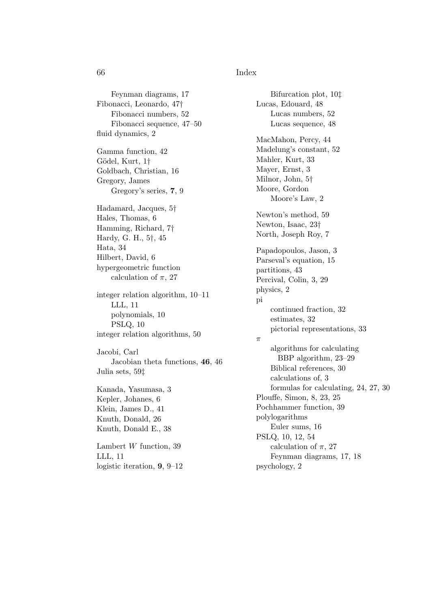Feynman diagrams, 17 Fibonacci, Leonardo, 47† Fibonacci numbers, 52 Fibonacci sequence, 47–50 fluid dynamics, 2 Gamma function, 42 Gödel, Kurt, 1<sup>†</sup> Goldbach, Christian, 16 Gregory, James Gregory's series, 7, 9 Hadamard, Jacques, 5† Hales, Thomas, 6 Hamming, Richard, 7† Hardy, G. H., 5†, 45 Hata, 34 Hilbert, David, 6 hypergeometric function calculation of  $\pi$ , 27 integer relation algorithm, 10–11 LLL, 11 polynomials, 10 PSLQ, 10 integer relation algorithms, 50 Jacobi, Carl Jacobian theta functions, 46, 46 Julia sets, 59‡ Kanada, Yasumasa, 3 Kepler, Johanes, 6 Klein, James D., 41 Knuth, Donald, 26

Knuth, Donald E., 38 Lambert  $W$  function, 39 LLL, 11

logistic iteration, 9, 9–12

Bifurcation plot, 10‡ Lucas, Edouard, 48 Lucas numbers, 52 Lucas sequence, 48 MacMahon, Percy, 44 Madelung's constant, 52 Mahler, Kurt, 33 Mayer, Ernst, 3 Milnor, John, 5† Moore, Gordon Moore's Law, 2 Newton's method, 59 Newton, Isaac, 23† North, Joseph Roy, 7 Papadopoulos, Jason, 3 Parseval's equation, 15 partitions, 43 Percival, Colin, 3, 29 physics, 2 pi continued fraction, 32 estimates, 32 pictorial representations, 33 π algorithms for calculating BBP algorithm, 23–29 Biblical references, 30 calculations of, 3 formulas for calculating, 24, 27, 30 Plouffe, Simon, 8, 23, 25 Pochhammer function, 39 polylogarithms Euler sums, 16 PSLQ, 10, 12, 54 calculation of  $\pi$ , 27 Feynman diagrams, 17, 18

psychology, 2

66 Index